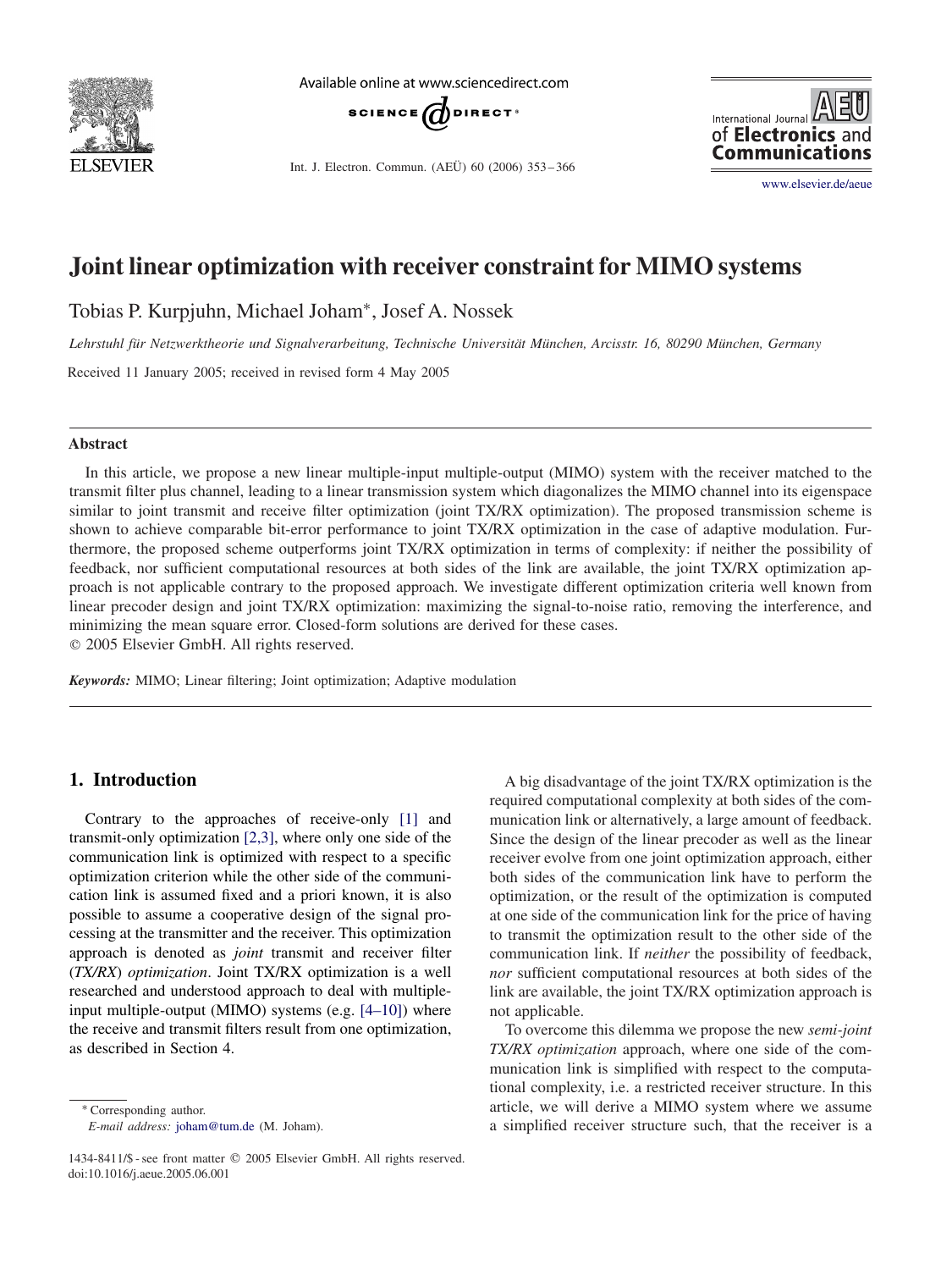

Available online at www.sciencedirect.com



Int. J. Electron. Commun. (AEÜ) 60 (2006) 353 – 366



[www.elsevier.de/aeue](http://www.elsevier.de/aeue)

# **Joint linear optimization with receiver constraint for MIMO systems**

Tobias P. Kurpjuhn, Michael Joham<sup>∗</sup>, Josef A. Nossek

*Lehrstuhl für Netzwerktheorie und Signalverarbeitung, Technische Universität München, Arcisstr. 16, 80290 München, Germany*

Received 11 January 2005; received in revised form 4 May 2005

#### **Abstract**

In this article, we propose a new linear multiple-input multiple-output (MIMO) system with the receiver matched to the transmit filter plus channel, leading to a linear transmission system which diagonalizes the MIMO channel into its eigenspace similar to joint transmit and receive filter optimization (joint TX/RX optimization). The proposed transmission scheme is shown to achieve comparable bit-error performance to joint TX/RX optimization in the case of adaptive modulation. Furthermore, the proposed scheme outperforms joint TX/RX optimization in terms of complexity: if neither the possibility of feedback, nor sufficient computational resources at both sides of the link are available, the joint TX/RX optimization approach is not applicable contrary to the proposed approach. We investigate different optimization criteria well known from linear precoder design and joint TX/RX optimization: maximizing the signal-to-noise ratio, removing the interference, and minimizing the mean square error. Closed-form solutions are derived for these cases. 2005 Elsevier GmbH. All rights reserved.

*Keywords:* MIMO; Linear filtering; Joint optimization; Adaptive modulation

# **1. Introduction**

Contrary to the approaches of receive-only [\[1\]](#page-11-0) and transmit-only optimization [2,3], where only one side of the communication link is optimized with respect to a specific optimization criterion while the other side of the communication link is assumed fixed and a priori known, it is also possible to assume a cooperative design of the signal processing at the transmitter and the receiver. This optimization approach is denoted as *joint* transmit and receiver filter (*TX/RX*) *optimization*. Joint TX/RX optimization is a well researched and understood approach to deal with multipleinput multiple-output (MIMO) systems (e.g. [4–10]) where the receive and transmit filters result from one optimization, as described in Section 4.

<sup>∗</sup> Corresponding author. *E-mail address:* [joham@tum.de](mailto:joham@tum.de) (M. Joham).

A big disadvantage of the joint TX/RX optimization is the required computational complexity at both sides of the communication link or alternatively, a large amount of feedback. Since the design of the linear precoder as well as the linear receiver evolve from one joint optimization approach, either both sides of the communication link have to perform the optimization, or the result of the optimization is computed at one side of the communication link for the price of having to transmit the optimization result to the other side of the communication link. If *neither* the possibility of feedback, *nor* sufficient computational resources at both sides of the link are available, the joint TX/RX optimization approach is not applicable.

To overcome this dilemma we propose the new *semi-joint TX/RX optimization* approach, where one side of the communication link is simplified with respect to the computational complexity, i.e. a restricted receiver structure. In this article, we will derive a MIMO system where we assume a simplified receiver structure such, that the receiver is a

<sup>1434-8411/\$ -</sup> see front matter 2005 Elsevier GmbH. All rights reserved. doi:10.1016/j.aeue.2005.06.001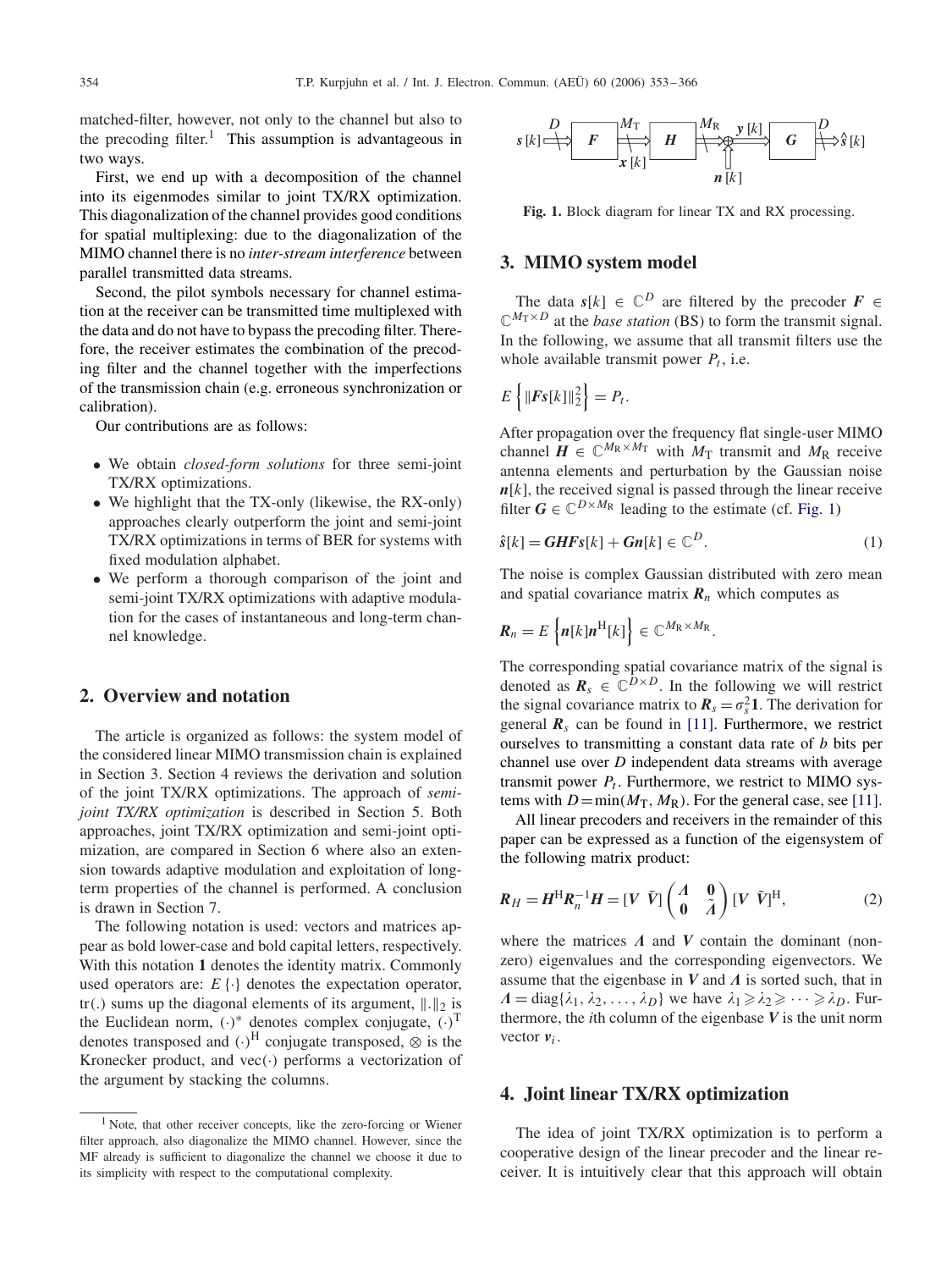<span id="page-1-0"></span>matched-filter, however, not only to the channel but also to the precoding filter.<sup>1</sup> This assumption is advantageous in two ways.

First, we end up with a decomposition of the channel into its eigenmodes similar to joint TX/RX optimization. This diagonalization of the channel provides good conditions for spatial multiplexing: due to the diagonalization of the MIMO channel there is no *inter-stream interference* between parallel transmitted data streams.

Second, the pilot symbols necessary for channel estimation at the receiver can be transmitted time multiplexed with the data and do not have to bypass the precoding filter. Therefore, the receiver estimates the combination of the precoding filter and the channel together with the imperfections of the transmission chain (e.g. erroneous synchronization or calibration).

Our contributions are as follows:

- We obtain *closed-form solutions* for three semi-joint TX/RX optimizations.
- We highlight that the TX-only (likewise, the RX-only) approaches clearly outperform the joint and semi-joint TX/RX optimizations in terms of BER for systems with fixed modulation alphabet.
- We perform a thorough comparison of the joint and semi-joint TX/RX optimizations with adaptive modulation for the cases of instantaneous and long-term channel knowledge.

## **2. Overview and notation**

The article is organized as follows: the system model of the considered linear MIMO transmission chain is explained in Section 3. Section 4 reviews the derivation and solution of the joint TX/RX optimizations. The approach of *semijoint TX/RX optimization* is described in Section 5. Both approaches, joint TX/RX optimization and semi-joint optimization, are compared in Section 6 where also an extension towards adaptive modulation and exploitation of longterm properties of the channel is performed. A conclusion is drawn in Section 7.

The following notation is used: vectors and matrices appear as bold lower-case and bold capital letters, respectively. With this notation **1** denotes the identity matrix. Commonly used operators are:  $E\{\cdot\}$  denotes the expectation operator, tr(.) sums up the diagonal elements of its argument,  $||.||_2$  is<br>the Euclidean norm ( $\lambda^*$  denotes complex conjugate ( $\lambda^T$ the Euclidean norm,  $(\cdot)^*$  denotes complex conjugate,  $(\cdot)^T$ <br>denotes transposed and  $(\cdot)^H$  conjugate transposed  $\otimes$  is the denotes transposed and  $(\cdot)^H$  conjugate transposed, ⊗ is the Kronecker product, and yec(c) performs a vectorization of Kronecker product, and  $\text{vec}(\cdot)$  performs a vectorization of the argument by stacking the columns.



**Fig. 1.** Block diagram for linear TX and RX processing.

# **3. MIMO system model**

The data  $s[k] \in \mathbb{C}^D$  are filtered by the precoder  $F \in$  $\mathbb{C}^{M_T \times D}$  at the *base station* (BS) to form the transmit signal. In the following, we assume that all transmit filters use the whole available transmit power  $P_t$ , i.e.

$$
E\left\{\|F\mathbf{s}[k]\|_2^2\right\}=P_t.
$$

After propagation over the frequency flat single-user MIMO channel  $H \in \mathbb{C}^{M_R \times M_T}$  with  $M_T$  transmit and  $M_R$  receive antenna elements and perturbation by the Gaussian noise  $n[k]$ , the received signal is passed through the linear receive filter  $G \in \mathbb{C}^{D \times M_R}$  leading to the estimate (cf. Fig. 1)

$$
\hat{s}[k] = GHFs[k] + Gn[k] \in \mathbb{C}^D.
$$
 (1)

The noise is complex Gaussian distributed with zero mean and spatial covariance matrix  $R_n$  which computes as

$$
\boldsymbol{R}_n = E\left\{\boldsymbol{n}[k]\boldsymbol{n}^{\mathrm{H}}[k]\right\} \in \mathbb{C}^{M_{\mathrm{R}} \times M_{\mathrm{R}}}.
$$

The corresponding spatial covariance matrix of the signal is denoted as  $\mathbf{R}_s \in \mathbb{C}^{D \times D}$ . In the following we will restrict the signal covariance matrix to  $R_s = \sigma_s^2 1$ . The derivation for<br>general **R** can be found in [11]. Furthermore, we restrict general  $\mathbf{R}_s$  can be found in [\[11\].](#page-12-0) Furthermore, we restrict ourselves to transmitting a constant data rate of *b* bits per channel use over *D* independent data streams with average transmit power  $P_t$ . Furthermore, we restrict to MIMO systems with  $D = min(M_T, M_R)$ . For the general case, see [\[11\].](#page-12-0)

All linear precoders and receivers in the remainder of this paper can be expressed as a function of the eigensystem of the following matrix product:

$$
\boldsymbol{R}_{H} = \boldsymbol{H}^{\mathrm{H}} \boldsymbol{R}_{n}^{-1} \boldsymbol{H} = [\boldsymbol{V} \ \tilde{\boldsymbol{V}}] \begin{pmatrix} \boldsymbol{\Lambda} & \boldsymbol{0} \\ \boldsymbol{0} & \tilde{\boldsymbol{\Lambda}} \end{pmatrix} [\boldsymbol{V} \ \tilde{\boldsymbol{V}}]^{\mathrm{H}}, \tag{2}
$$

where the matrices  $\Lambda$  and  $V$  contain the dominant (nonzero) eigenvalues and the corresponding eigenvectors. We assume that the eigenbase in  $V$  and  $\Lambda$  is sorted such, that in  $A = \text{diag}\{\lambda_1, \lambda_2, \dots, \lambda_D\}$  we have  $\lambda_1 \ge \lambda_2 \ge \dots \ge \lambda_D$ . Fur-<br>thermore, the *i*th column of the eigenbase V is the unit norm thermore, the *i*th column of the eigenbase *V* is the unit norm vector *<sup>v</sup>*i.

# **4. Joint linear TX/RX optimization**

The idea of joint TX/RX optimization is to perform a cooperative design of the linear precoder and the linear receiver. It is intuitively clear that this approach will obtain

<sup>1</sup> Note, that other receiver concepts, like the zero-forcing or Wiener filter approach, also diagonalize the MIMO channel. However, since the MF already is sufficient to diagonalize the channel we choose it due to its simplicity with respect to the computational complexity.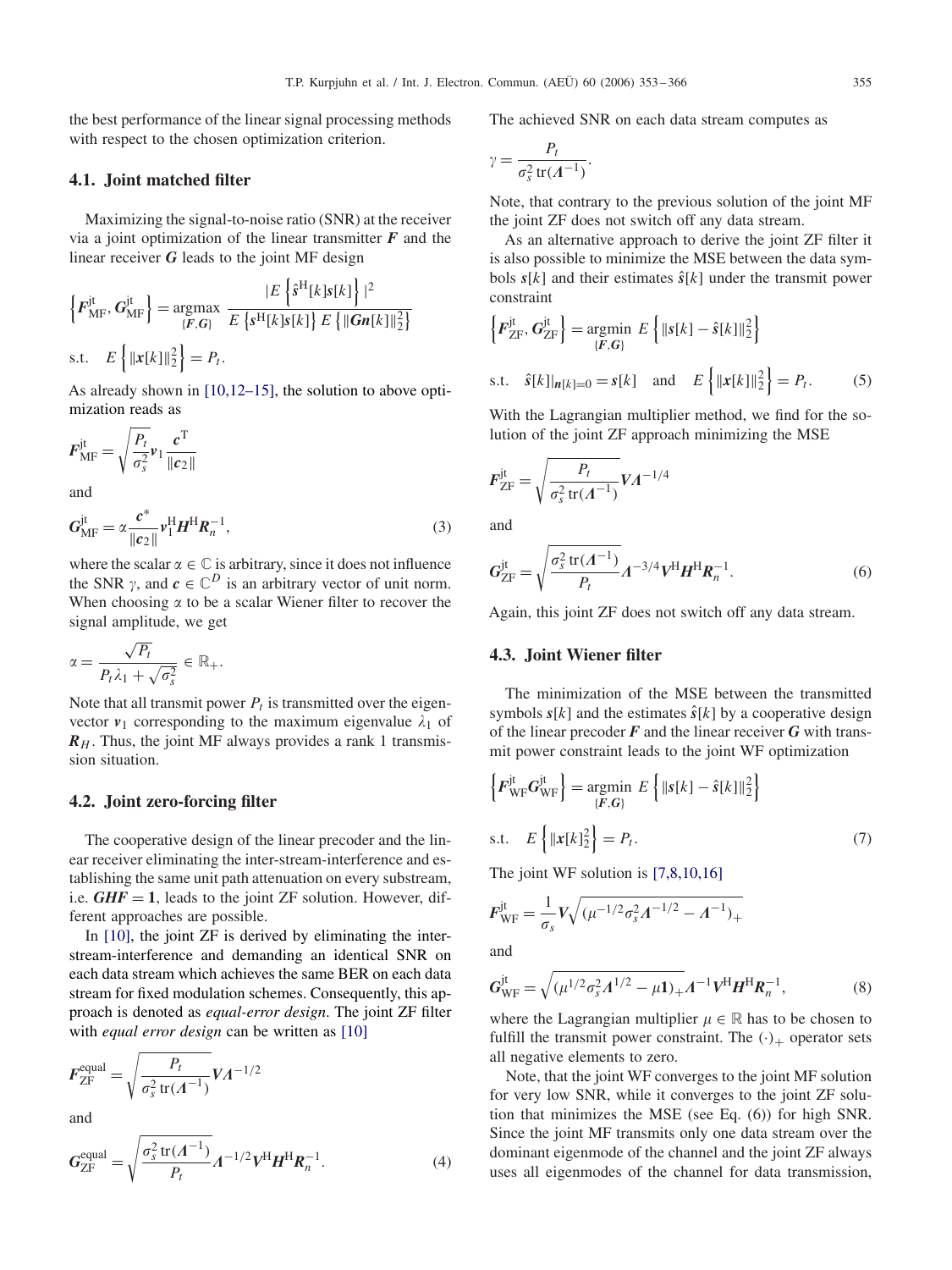the best performance of the linear signal processing methods with respect to the chosen optimization criterion.

## **4.1. Joint matched filter**

Maximizing the signal-to-noise ratio (SNR) at the receiver via a joint optimization of the linear transmitter  $F$  and the linear receiver *G* leads to the joint MF design

$$
\left\{ F_{\text{MF}}^{\text{jt}}, G_{\text{MF}}^{\text{jt}} \right\} = \underset{\{F,G\}}{\text{argmax}} \frac{|E \left\{ \hat{s}^{\text{H}}[k] s[k] \right\}|^2}{E \left\{ s^{\text{H}}[k] s[k] \right\} E \left\{ \|Gn[k]\|_2^2 \right\}}
$$
\ns.t. 
$$
E \left\{ \|x[k]\|_2^2 \right\} = P_t.
$$

As already shown in [10,12–15], the solution to above optimization reads as

$$
\boldsymbol{F}_{\mathrm{MF}}^{\mathrm{jt}} = \sqrt{\frac{P_t}{\sigma_s^2}} \boldsymbol{v}_1 \frac{\boldsymbol{c}^{\mathrm{T}}}{\|\boldsymbol{c}_2\|}
$$

and

$$
G_{\rm MF}^{\rm jt} = \alpha \frac{c^*}{\|c_2\|} v_1^{\rm H} H^{\rm H} R_n^{-1},\tag{3}
$$

where the scalar  $\alpha \in \mathbb{C}$  is arbitrary, since it does not influence the SNR  $\gamma$ , and  $c \in \mathbb{C}^D$  is an arbitrary vector of unit norm. When choosing  $\alpha$  to be a scalar Wiener filter to recover the signal amplitude, we get

$$
\alpha = \frac{\sqrt{P_t}}{P_t \lambda_1 + \sqrt{\sigma_s^2}} \in \mathbb{R}_+.
$$

Note that all transmit power  $P_t$  is transmitted over the eigen-<br>vector  $v_t$ , corresponding to the maximum eigenvalue  $\lambda_t$  of vector  $v_1$  corresponding to the maximum eigenvalue  $\lambda_1$  of  $R<sub>H</sub>$ . Thus, the joint MF always provides a rank 1 transmission situation.

## **4.2. Joint zero-forcing filter**

The cooperative design of the linear precoder and the linear receiver eliminating the inter-stream-interference and establishing the same unit path attenuation on every substream, i.e.  $GHF = 1$ , leads to the joint ZF solution. However, different approaches are possible.

In [\[10\],](#page-12-0) the joint ZF is derived by eliminating the interstream-interference and demanding an identical SNR on each data stream which achieves the same BER on each data stream for fixed modulation schemes. Consequently, this approach is denoted as *equal-error design*. The joint ZF filter with *equal error design* can be written as [\[10\]](#page-12-0)

$$
F_{\rm ZF}^{\rm equal} = \sqrt{\frac{P_t}{\sigma_s^2 \text{ tr}(A^{-1})}} V A^{-1/2}
$$
  
and  

$$
\sqrt{\frac{\sigma^2 \text{ tr}(A^{-1})}{\sigma_s^2 \text{ tr}(A^{-1})}}
$$

$$
G_{\text{ZF}}^{\text{equal}} = \sqrt{\frac{\sigma_s^2 \text{ tr}(A^{-1})}{P_t} A^{-1/2} V^{\text{H}} H^{\text{H}} R_n^{-1}}.
$$
 (4)

The achieved SNR on each data stream computes as

$$
\gamma = \frac{P_t}{\sigma_s^2 \operatorname{tr}(A^{-1})}.
$$

Note, that contrary to the previous solution of the joint MF the joint ZF does not switch off any data stream.

As an alternative approach to derive the joint ZF filter it is also possible to minimize the MSE between the data symbols  $s[k]$  and their estimates  $\hat{s}[k]$  under the transmit power constraint

$$
\left\{ F_{\text{ZF}}^{\text{jt}}, G_{\text{ZF}}^{\text{jt}} \right\} = \underset{\{F, G\}}{\text{argmin}} \ E \left\{ \|s[k] - \hat{s}[k]\|_2^2 \right\}
$$
\ns.t.  $\hat{s}[k]_{n[k]=0} = s[k]$  and  $E \left\{ \|x[k]\|_2^2 \right\} = P_t.$  (5)

With the Lagrangian multiplier method, we find for the solution of the joint ZF approach minimizing the MSE

$$
F_{\rm ZF}^{\rm jt} = \sqrt{\frac{P_t}{\sigma_s^2 \, \text{tr}(A^{-1})}} V A^{-1/4}
$$

and

$$
G_{ZF}^{jt} = \sqrt{\frac{\sigma_s^2 \text{ tr}(A^{-1})}{P_t}} A^{-3/4} V^{\text{H}} H^{\text{H}} R_n^{-1}.
$$
 (6)

Again, this joint ZF does not switch off any data stream.

## **4.3. Joint Wiener filter**

The minimization of the MSE between the transmitted symbols  $s[k]$  and the estimates  $\hat{s}[k]$  by a cooperative design of the linear precoder  $F$  and the linear receiver  $G$  with transmit power constraint leads to the joint WF optimization

$$
\left\{ F_{\text{WF}}^{\text{jt}} G_{\text{WF}}^{\text{jt}} \right\} = \underset{\{F, G\}}{\text{argmin}} E \left\{ \left\| s[k] - \hat{s}[k] \right\|_2^2 \right\}
$$
\n
$$
\text{s.t.} \quad E \left\{ \left\| x[k]_2^2 \right\} = P_t. \tag{7}
$$

The joint WF solution is  $[7,8,10,16]$ 

$$
F_{\rm WF}^{\rm jt} = \frac{1}{\sigma_s} V \sqrt{(\mu^{-1/2} \sigma_s^2 A^{-1/2} - A^{-1})_+}
$$

and

$$
G_{\rm WF}^{\rm jt} = \sqrt{(\mu^{1/2} \sigma_s^2 A^{1/2} - \mu \mathbf{1})_+} A^{-1} V^{\rm H} H^{\rm H} R_n^{-1}, \tag{8}
$$

where the Lagrangian multiplier  $\mu \in \mathbb{R}$  has to be chosen to fulfill the transmit power constraint. The  $(\cdot)_+$  operator sets all negative elements to zero.

Note, that the joint WF converges to the joint MF solution for very low SNR, while it converges to the joint ZF solution that minimizes the MSE (see Eq. (6)) for high SNR. Since the joint MF transmits only one data stream over the dominant eigenmode of the channel and the joint ZF always uses all eigenmodes of the channel for data transmission,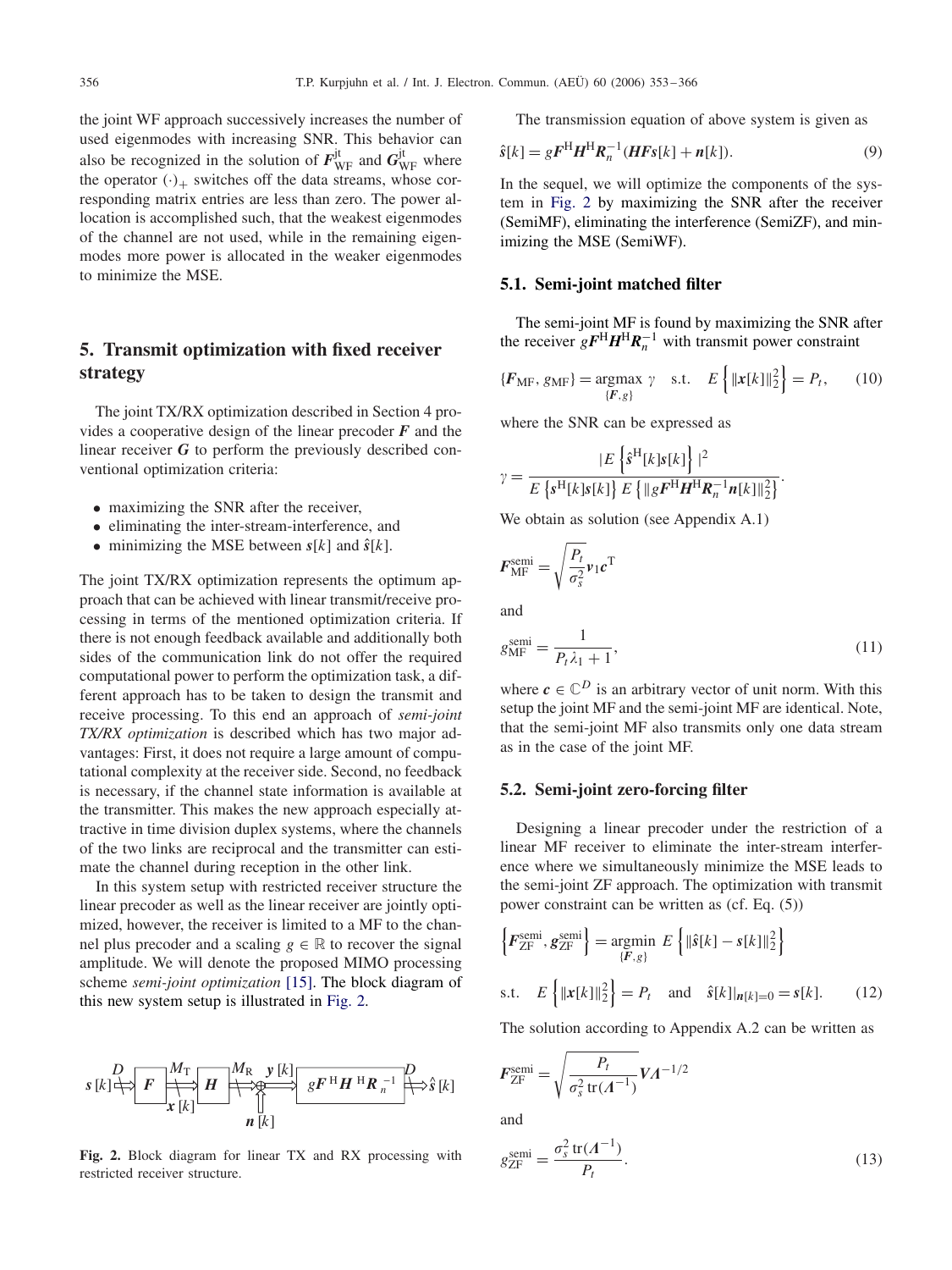<span id="page-3-0"></span>the joint WF approach successively increases the number of used eigenmodes with increasing SNR. This behavior can also be recognized in the solution of  $F_{\text{WF}}^{\text{jt}}$  and  $G_{\text{WF}}^{\text{jt}}$  where the operator  $(\cdot)_+$  switches off the data streams, whose corresponding matrix entries are less than zero. The power allocation is accomplished such, that the weakest eigenmodes of the channel are not used, while in the remaining eigenmodes more power is allocated in the weaker eigenmodes to minimize the MSE.

# **5. Transmit optimization with fixed receiver strategy**

The joint TX/RX optimization described in Section 4 provides a cooperative design of the linear precoder *F* and the linear receiver *G* to perform the previously described conventional optimization criteria:

- maximizing the SNR after the receiver,
- eliminating the inter-stream-interference, and
- minimizing the MSE between  $s[k]$  and  $\hat{s}[k]$ .

The joint TX/RX optimization represents the optimum approach that can be achieved with linear transmit/receive processing in terms of the mentioned optimization criteria. If there is not enough feedback available and additionally both sides of the communication link do not offer the required computational power to perform the optimization task, a different approach has to be taken to design the transmit and receive processing. To this end an approach of *semi-joint TX/RX optimization* is described which has two major advantages: First, it does not require a large amount of computational complexity at the receiver side. Second, no feedback is necessary, if the channel state information is available at the transmitter. This makes the new approach especially attractive in time division duplex systems, where the channels of the two links are reciprocal and the transmitter can estimate the channel during reception in the other link.

In this system setup with restricted receiver structure the linear precoder as well as the linear receiver are jointly optimized, however, the receiver is limited to a MF to the channel plus precoder and a scaling  $g \in \mathbb{R}$  to recover the signal amplitude. We will denote the proposed MIMO processing scheme *semi-joint optimization* [\[15\].](#page-12-0) The block diagram of this new system setup is illustrated in Fig. 2.

*s*[*k*] *H n* [*k*] ^ *gF s*[*k*] <sup>H</sup>*H* <sup>H</sup> *R* <sup>−</sup><sup>1</sup> *F <sup>n</sup> D y* [*k*] *D x* [*k*] *M*<sup>T</sup> *M*<sup>R</sup>

**Fig. 2.** Block diagram for linear TX and RX processing with restricted receiver structure.

The transmission equation of above system is given as

$$
\hat{s}[k] = gF^{\mathrm{H}}H^{\mathrm{H}}R_n^{-1}(HFs[k] + n[k]). \tag{9}
$$

In the sequel, we will optimize the components of the system in Fig. 2 by maximizing the SNR after the receiver (SemiMF), eliminating the interference (SemiZF), and minimizing the MSE (SemiWF).

#### **5.1. Semi-joint matched filter**

The semi-joint MF is found by maximizing the SNR after the receiver  $gF^H H^H R_n^{-1}$  with transmit power constraint

$$
\{F_{\text{MF}}, g_{\text{MF}}\} = \underset{\{F, g\}}{\text{argmax}} \gamma \quad \text{s.t.} \quad E\left\{ \|\mathbf{x}[k]\|_2^2 \right\} = P_t, \tag{10}
$$

where the SNR can be expressed as

$$
\gamma = \frac{|E\left\{\hat{\boldsymbol{s}}^{\mathrm{H}}[k]\boldsymbol{s}[k]\right\}|^2}{E\left\{\boldsymbol{s}^{\mathrm{H}}[k]\boldsymbol{s}[k]\right\}E\left\{\|\boldsymbol{s}\boldsymbol{F}^{\mathrm{H}}\boldsymbol{H}^{\mathrm{H}}\boldsymbol{R}_n^{-1}\boldsymbol{n}[k]\|_2^2\right\}}.
$$

We obtain as solution (see Appendix A.1)

$$
F_{\rm MF}^{\rm semi} = \sqrt{\frac{P_t}{\sigma_s^2}} v_1 c^{\rm T}
$$

and

$$
g_{\rm MF}^{\rm semi} = \frac{1}{P_t \lambda_1 + 1},\tag{11}
$$

where  $c \in \mathbb{C}^D$  is an arbitrary vector of unit norm. With this setup the joint MF and the semi-joint MF are identical. Note, that the semi-joint MF also transmits only one data stream as in the case of the joint MF.

#### **5.2. Semi-joint zero-forcing filter**

Designing a linear precoder under the restriction of a linear MF receiver to eliminate the inter-stream interference where we simultaneously minimize the MSE leads to the semi-joint ZF approach. The optimization with transmit power constraint can be written as (cf. Eq. (5))

$$
\left\{ F_{\text{ZF}}^{\text{semi}}, g_{\text{ZF}}^{\text{semi}} \right\} = \underset{\{F, g\}}{\text{argmin}} E \left\{ \|\hat{\mathbf{s}}[k] - \mathbf{s}[k] \|_{2}^{2} \right\}
$$
\n
$$
\text{s.t.} \quad E \left\{ \|\mathbf{x}[k]\|_{2}^{2} \right\} = P_{t} \quad \text{and} \quad \hat{\mathbf{s}}[k]_{n[k]=0} = \mathbf{s}[k]. \tag{12}
$$

The solution according to Appendix A.2 can be written as

$$
F_{\rm ZF}^{\rm semi} = \sqrt{\frac{P_t}{\sigma_s^2 \operatorname{tr}(A^{-1})}} V A^{-1/2}
$$
  
and

$$
g_{\text{ZF}}^{\text{semi}} = \frac{\sigma_s^2 \operatorname{tr}(A^{-1})}{P_t}.
$$
\n(13)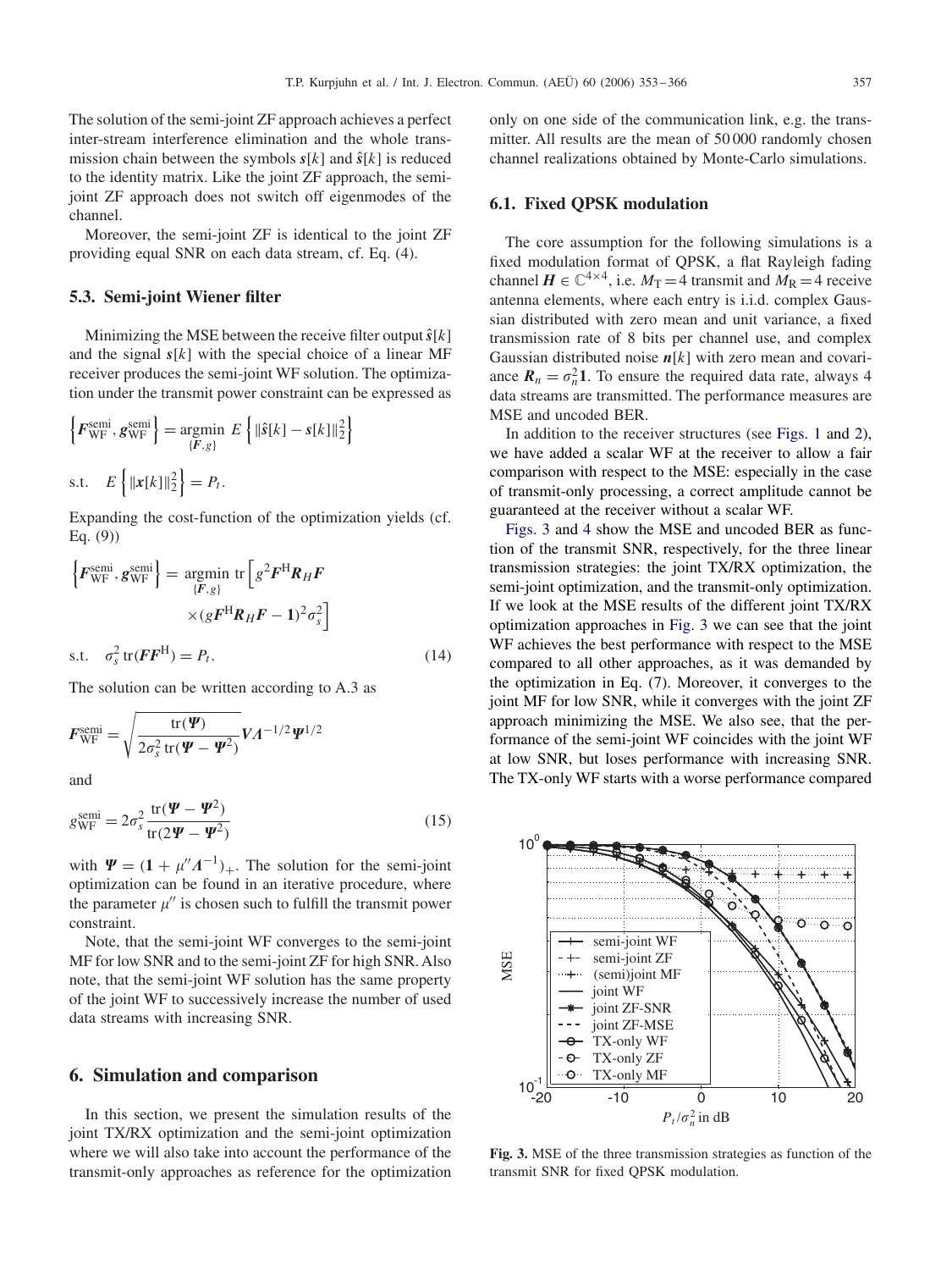The solution of the semi-joint ZF approach achieves a perfect inter-stream interference elimination and the whole transmission chain between the symbols  $s[k]$  and  $\hat{s}[k]$  is reduced to the identity matrix. Like the joint ZF approach, the semijoint ZF approach does not switch off eigenmodes of the channel.

Moreover, the semi-joint ZF is identical to the joint ZF providing equal SNR on each data stream, cf. Eq. (4).

## **5.3. Semi-joint Wiener filter**

Minimizing the MSE between the receive filter output  $\hat{s}[k]$ and the signal *<sup>s</sup>*[k] with the special choice of a linear MF receiver produces the semi-joint WF solution. The optimization under the transmit power constraint can be expressed as

$$
\left\{ F_{\text{WF}}^{\text{semi}}, g_{\text{WF}}^{\text{semi}} \right\} = \underset{\{F, g\}}{\text{argmin}} E \left\{ \left\| \hat{s}[k] - s[k] \right\|_2^2 \right\}
$$
\n
$$
\text{s.t.} \quad E \left\{ \left\| \mathbf{x}[k] \right\|_2^2 \right\} = P_t.
$$

Expanding the cost-function of the optimization yields (cf. Eq. (9))

$$
\left\{ F_{\text{WF}}^{\text{semi}}, g_{\text{WF}}^{\text{semi}} \right\} = \underset{\{F, g\}}{\text{argmin}} \text{ tr} \left[ g^2 F^{\text{H}} R_H F \right] \times \left( g F^{\text{H}} R_H F - 1 \right)^2 \sigma_s^2 \right]
$$
\n
$$
\times \left( g F^{\text{H}} R_H F - 1 \right)^2 \sigma_s^2 \right]
$$
\n
$$
\text{s.t.} \quad \sigma_s^2 \text{ tr} (F F^{\text{H}}) = P_t. \tag{14}
$$

The solution can be written according to A.3 as

$$
\boldsymbol{F}_{\text{WF}}^{\text{semi}} = \sqrt{\frac{\text{tr}(\boldsymbol{\varPsi})}{2\sigma_s^2 \text{tr}(\boldsymbol{\varPsi} - \boldsymbol{\varPsi}^2)}} \boldsymbol{V} A^{-1/2} \boldsymbol{\varPsi}^{1/2}
$$

and

$$
g_{\rm WF}^{\rm semi} = 2\sigma_s^2 \frac{\text{tr}(\Psi - \Psi^2)}{\text{tr}(2\Psi - \Psi^2)}
$$
(15)

with  $\Psi = (1 + \mu''A^{-1})_+$ . The solution for the semi-joint<br>continuation can be found in an iterative procedure, where optimization can be found in an iterative procedure, where the parameter  $\mu$ <sup>"</sup> is chosen such to fulfill the transmit power constraint.

Note, that the semi-joint WF converges to the semi-joint MF for low SNR and to the semi-joint ZF for high SNR. Also note, that the semi-joint WF solution has the same property of the joint WF to successively increase the number of used data streams with increasing SNR.

## **6. Simulation and comparison**

In this section, we present the simulation results of the joint TX/RX optimization and the semi-joint optimization where we will also take into account the performance of the transmit-only approaches as reference for the optimization

only on one side of the communication link, e.g. the transmitter. All results are the mean of 50 000 randomly chosen channel realizations obtained by Monte-Carlo simulations.

#### **6.1. Fixed QPSK modulation**

The core assumption for the following simulations is a fixed modulation format of QPSK, a flat Rayleigh fading channel  $H \in \mathbb{C}^{4 \times 4}$ , i.e.  $M_T = 4$  transmit and  $M_R = 4$  receive antenna elements, where each entry is i.i.d. complex Gaussian distributed with zero mean and unit variance, a fixed transmission rate of 8 bits per channel use, and complex Gaussian distributed noise  $n[k]$  with zero mean and covariance  $\mathbf{R}_n = \sigma_n^2 \mathbf{1}$ . To ensure the required data rate, always 4 data streams are transmitted. The performance measures are data streams are transmitted. The performance measures are MSE and uncoded BER.

In addition to the receiver structures (see [Figs. 1](#page-1-0) and [2\)](#page-3-0), we have added a scalar WF at the receiver to allow a fair comparison with respect to the MSE: especially in the case of transmit-only processing, a correct amplitude cannot be guaranteed at the receiver without a scalar WF.

Figs. 3 and [4](#page-5-0) show the MSE and uncoded BER as function of the transmit SNR, respectively, for the three linear transmission strategies: the joint TX/RX optimization, the semi-joint optimization, and the transmit-only optimization. If we look at the MSE results of the different joint TX/RX optimization approaches in Fig. 3 we can see that the joint WF achieves the best performance with respect to the MSE compared to all other approaches, as it was demanded by the optimization in Eq. (7). Moreover, it converges to the joint MF for low SNR, while it converges with the joint ZF approach minimizing the MSE. We also see, that the performance of the semi-joint WF coincides with the joint WF at low SNR, but loses performance with increasing SNR. The TX-only WF starts with a worse performance compared

**Fig. 3.** MSE of the three transmission strategies as function of the transmit SNR for fixed QPSK modulation.

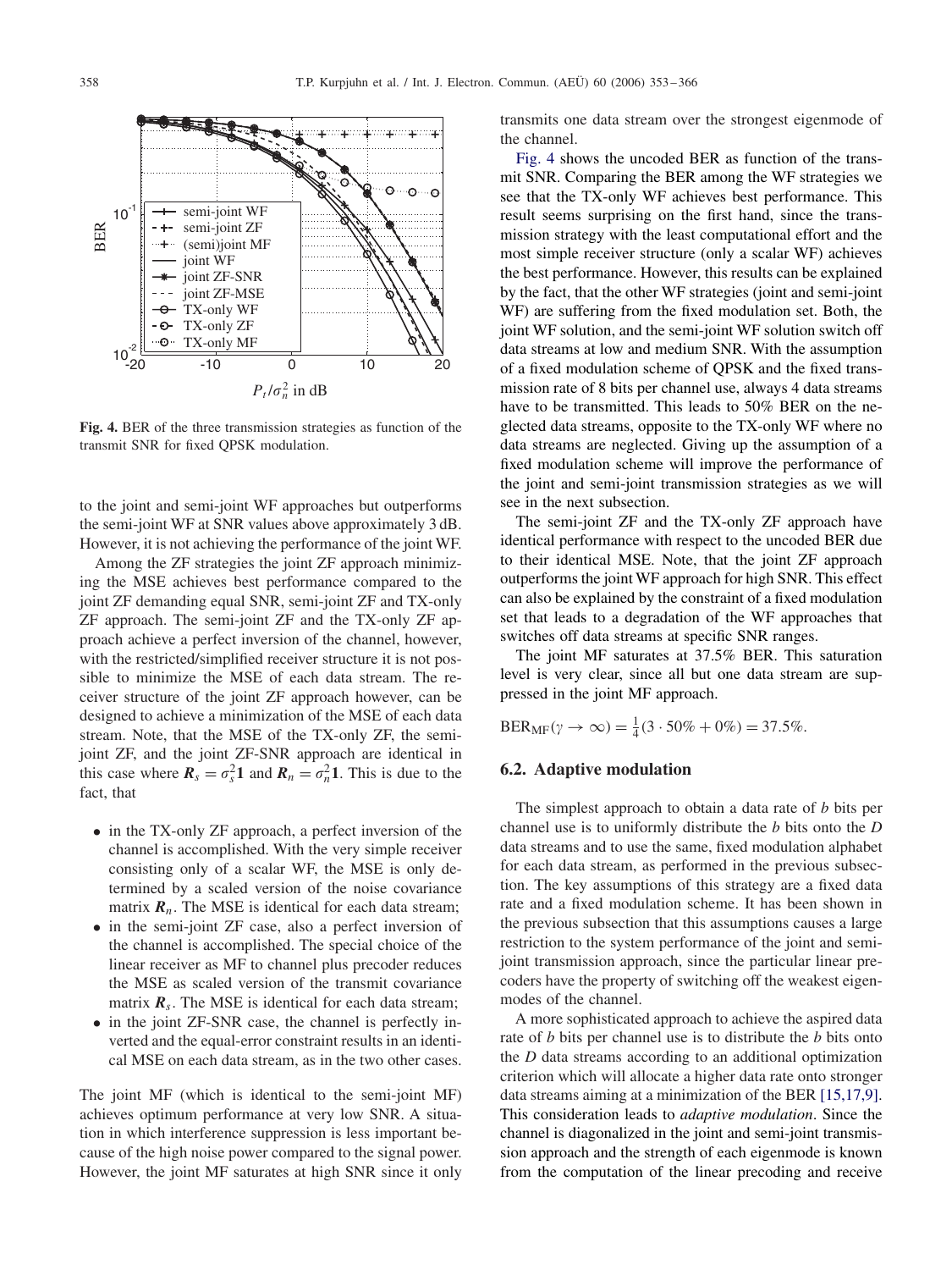<span id="page-5-0"></span>

**Fig. 4.** BER of the three transmission strategies as function of the transmit SNR for fixed QPSK modulation.

to the joint and semi-joint WF approaches but outperforms the semi-joint WF at SNR values above approximately 3 dB. However, it is not achieving the performance of the joint WF.

Among the ZF strategies the joint ZF approach minimizing the MSE achieves best performance compared to the joint ZF demanding equal SNR, semi-joint ZF and TX-only ZF approach. The semi-joint ZF and the TX-only ZF approach achieve a perfect inversion of the channel, however, with the restricted/simplified receiver structure it is not possible to minimize the MSE of each data stream. The receiver structure of the joint ZF approach however, can be designed to achieve a minimization of the MSE of each data stream. Note, that the MSE of the TX-only ZF, the semijoint ZF, and the joint ZF-SNR approach are identical in this case where  $\mathbf{R}_s = \sigma_s^2 \mathbf{1}$  and  $\mathbf{R}_n = \sigma_n^2 \mathbf{1}$ . This is due to the fact that fact, that

- in the TX-only ZF approach, a perfect inversion of the channel is accomplished. With the very simple receiver consisting only of a scalar WF, the MSE is only determined by a scaled version of the noise covariance matrix  $\mathbf{R}_n$ . The MSE is identical for each data stream;
- in the semi-joint ZF case, also a perfect inversion of the channel is accomplished. The special choice of the linear receiver as MF to channel plus precoder reduces the MSE as scaled version of the transmit covariance matrix  $\mathbf{R}_s$ . The MSE is identical for each data stream;
- in the joint ZF-SNR case, the channel is perfectly inverted and the equal-error constraint results in an identical MSE on each data stream, as in the two other cases.

The joint MF (which is identical to the semi-joint MF) achieves optimum performance at very low SNR. A situation in which interference suppression is less important because of the high noise power compared to the signal power. However, the joint MF saturates at high SNR since it only

transmits one data stream over the strongest eigenmode of the channel.

Fig. 4 shows the uncoded BER as function of the transmit SNR. Comparing the BER among the WF strategies we see that the TX-only WF achieves best performance. This result seems surprising on the first hand, since the transmission strategy with the least computational effort and the most simple receiver structure (only a scalar WF) achieves the best performance. However, this results can be explained by the fact, that the other WF strategies (joint and semi-joint WF) are suffering from the fixed modulation set. Both, the joint WF solution, and the semi-joint WF solution switch off data streams at low and medium SNR. With the assumption of a fixed modulation scheme of QPSK and the fixed transmission rate of 8 bits per channel use, always 4 data streams have to be transmitted. This leads to 50% BER on the neglected data streams, opposite to the TX-only WF where no data streams are neglected. Giving up the assumption of a fixed modulation scheme will improve the performance of the joint and semi-joint transmission strategies as we will see in the next subsection.

The semi-joint ZF and the TX-only ZF approach have identical performance with respect to the uncoded BER due to their identical MSE. Note, that the joint ZF approach outperforms the joint WF approach for high SNR. This effect can also be explained by the constraint of a fixed modulation set that leads to a degradation of the WF approaches that switches off data streams at specific SNR ranges.

The joint MF saturates at 37.5% BER. This saturation level is very clear, since all but one data stream are suppressed in the joint MF approach.

$$
BER_{MF}(\gamma \to \infty) = \frac{1}{4}(3 \cdot 50\% + 0\%) = 37.5\%.
$$

#### **6.2. Adaptive modulation**

The simplest approach to obtain a data rate of *b* bits per channel use is to uniformly distribute the *b* bits onto the *D* data streams and to use the same, fixed modulation alphabet for each data stream, as performed in the previous subsection. The key assumptions of this strategy are a fixed data rate and a fixed modulation scheme. It has been shown in the previous subsection that this assumptions causes a large restriction to the system performance of the joint and semijoint transmission approach, since the particular linear precoders have the property of switching off the weakest eigenmodes of the channel.

A more sophisticated approach to achieve the aspired data rate of *b* bits per channel use is to distribute the *b* bits onto the *D* data streams according to an additional optimization criterion which will allocate a higher data rate onto stronger data streams aiming at a minimization of the BER [15,17,9]. This consideration leads to *adaptive modulation*. Since the channel is diagonalized in the joint and semi-joint transmission approach and the strength of each eigenmode is known from the computation of the linear precoding and receive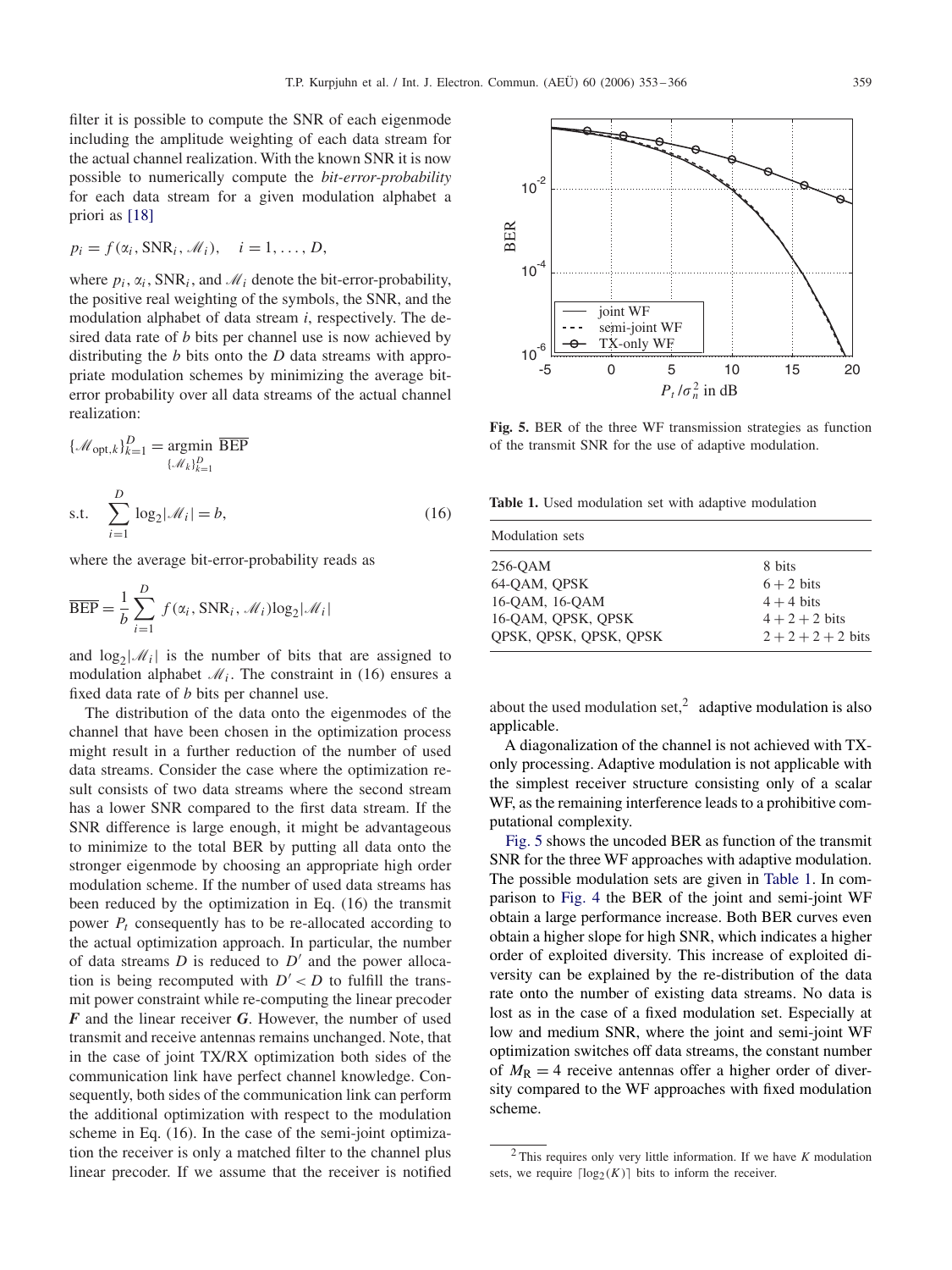<span id="page-6-0"></span>filter it is possible to compute the SNR of each eigenmode including the amplitude weighting of each data stream for the actual channel realization. With the known SNR it is now possible to numerically compute the *bit-error-probability* for each data stream for a given modulation alphabet a priori as [\[18\]](#page-12-0)

$$
p_i = f(\alpha_i, \text{SNR}_i, \mathcal{M}_i), \quad i = 1, \dots, D,
$$

where  $p_i$ ,  $\alpha_i$ , SNR<sub>i</sub>, and  $\mathcal{M}_i$  denote the bit-error-probability, the positive real weighting of the symbols, the SNR, and the modulation alphabet of data stream *i*, respectively. The desired data rate of *b* bits per channel use is now achieved by distributing the *b* bits onto the *D* data streams with appropriate modulation schemes by minimizing the average biterror probability over all data streams of the actual channel realization:

$$
\{\mathcal{M}_{\text{opt},k}\}_{k=1}^{D} = \underset{\{\mathcal{M}_{k}\}_{k=1}^{D}}{\text{argmin}} \overline{\text{BEP}}
$$
  
s.t. 
$$
\sum_{i=1}^{D} \log_{2} |\mathcal{M}_{i}| = b,
$$
 (16)

where the average bit-error-probability reads as

$$
\overline{\text{BEP}} = \frac{1}{b} \sum_{i=1}^{D} f(\alpha_i, \text{SNR}_i, \mathcal{M}_i) \log_2 |\mathcal{M}_i|
$$

and  $log_2|\mathcal{M}_i|$  is the number of bits that are assigned to modulation alphabet  $\mathcal{M}_i$ . The constraint in (16) ensures a fixed data rate of *b* bits per channel use.

The distribution of the data onto the eigenmodes of the channel that have been chosen in the optimization process might result in a further reduction of the number of used data streams. Consider the case where the optimization result consists of two data streams where the second stream has a lower SNR compared to the first data stream. If the SNR difference is large enough, it might be advantageous to minimize to the total BER by putting all data onto the stronger eigenmode by choosing an appropriate high order modulation scheme. If the number of used data streams has been reduced by the optimization in Eq. (16) the transmit power  $P_t$  consequently has to be re-allocated according to the actual optimization approach. In particular, the number of data streams  $D$  is reduced to  $D'$  and the power allocation is being recomputed with  $D' < D$  to fulfill the transmit power constraint while re-computing the linear precoder *F* and the linear receiver *G*. However, the number of used transmit and receive antennas remains unchanged. Note, that in the case of joint TX/RX optimization both sides of the communication link have perfect channel knowledge. Consequently, both sides of the communication link can perform the additional optimization with respect to the modulation scheme in Eq. (16). In the case of the semi-joint optimization the receiver is only a matched filter to the channel plus linear precoder. If we assume that the receiver is notified



**Fig. 5.** BER of the three WF transmission strategies as function of the transmit SNR for the use of adaptive modulation.

**Table 1.** Used modulation set with adaptive modulation

| <b>Modulation</b> sets |                      |
|------------------------|----------------------|
| 256-OAM                | 8 bits               |
| 64-OAM, OPSK           | $6 + 2$ bits         |
| 16-QAM, 16-QAM         | $4+4$ bits           |
| 16-OAM, OPSK, OPSK     | $4 + 2 + 2$ bits     |
| QPSK, QPSK, QPSK, QPSK | $2 + 2 + 2 + 2$ bits |

about the used modulation set, $2$  adaptive modulation is also applicable.

A diagonalization of the channel is not achieved with TXonly processing. Adaptive modulation is not applicable with the simplest receiver structure consisting only of a scalar WF, as the remaining interference leads to a prohibitive computational complexity.

Fig. 5 shows the uncoded BER as function of the transmit SNR for the three WF approaches with adaptive modulation. The possible modulation sets are given in Table 1. In comparison to [Fig. 4](#page-5-0) the BER of the joint and semi-joint WF obtain a large performance increase. Both BER curves even obtain a higher slope for high SNR, which indicates a higher order of exploited diversity. This increase of exploited diversity can be explained by the re-distribution of the data rate onto the number of existing data streams. No data is lost as in the case of a fixed modulation set. Especially at low and medium SNR, where the joint and semi-joint WF optimization switches off data streams, the constant number of  $M_R = 4$  receive antennas offer a higher order of diversity compared to the WF approaches with fixed modulation scheme.

<sup>2</sup> This requires only very little information. If we have *K* modulation sets, we require  $\lceil \log_2(K) \rceil$  bits to inform the receiver.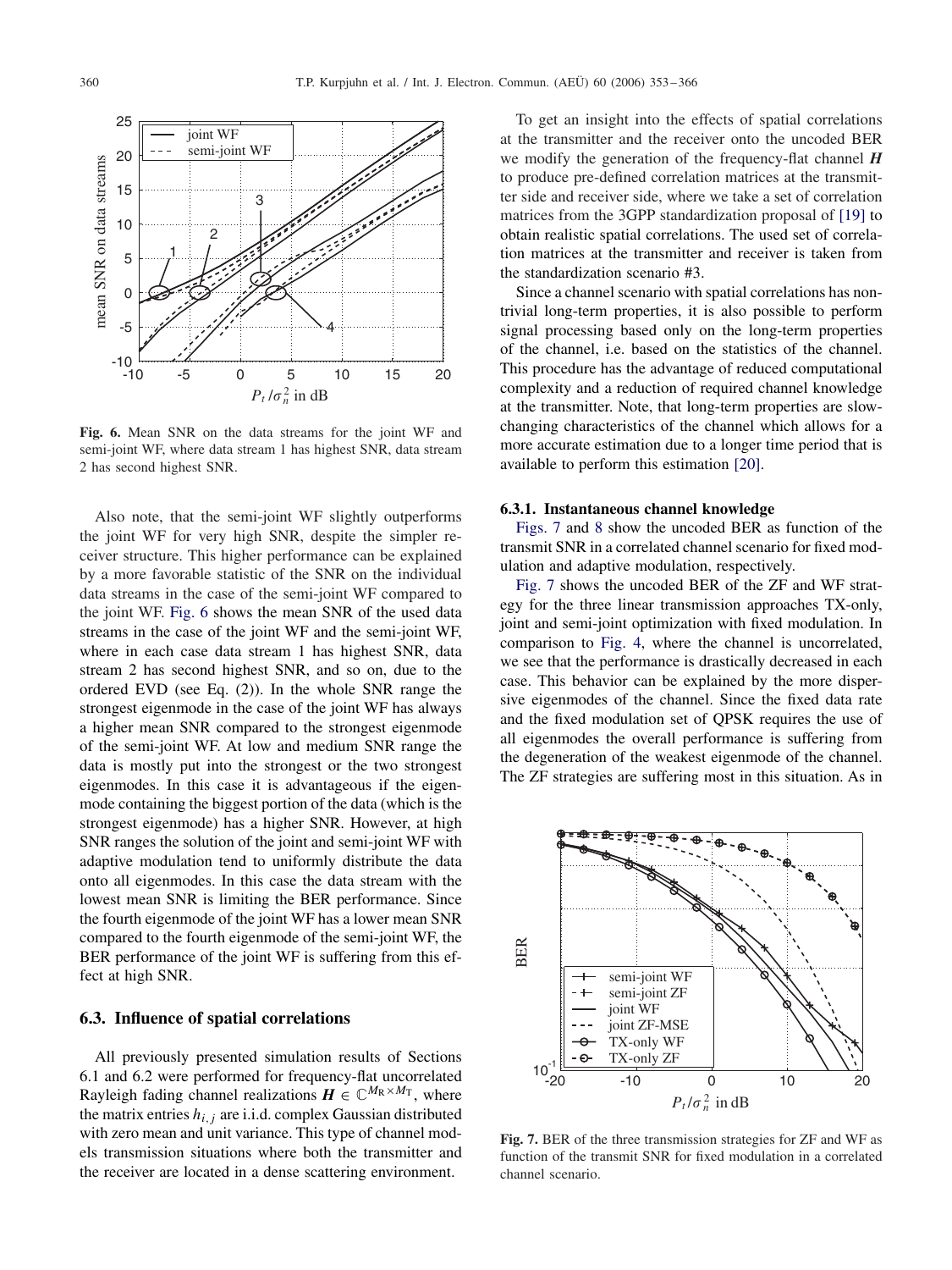<span id="page-7-0"></span>

**Fig. 6.** Mean SNR on the data streams for the joint WF and semi-joint WF, where data stream 1 has highest SNR, data stream 2 has second highest SNR.

Also note, that the semi-joint WF slightly outperforms the joint WF for very high SNR, despite the simpler receiver structure. This higher performance can be explained by a more favorable statistic of the SNR on the individual data streams in the case of the semi-joint WF compared to the joint WF. Fig. 6 shows the mean SNR of the used data streams in the case of the joint WF and the semi-joint WF, where in each case data stream 1 has highest SNR, data stream 2 has second highest SNR, and so on, due to the ordered EVD (see Eq. (2)). In the whole SNR range the strongest eigenmode in the case of the joint WF has always a higher mean SNR compared to the strongest eigenmode of the semi-joint WF. At low and medium SNR range the data is mostly put into the strongest or the two strongest eigenmodes. In this case it is advantageous if the eigenmode containing the biggest portion of the data (which is the strongest eigenmode) has a higher SNR. However, at high SNR ranges the solution of the joint and semi-joint WF with adaptive modulation tend to uniformly distribute the data onto all eigenmodes. In this case the data stream with the lowest mean SNR is limiting the BER performance. Since the fourth eigenmode of the joint WF has a lower mean SNR compared to the fourth eigenmode of the semi-joint WF, the BER performance of the joint WF is suffering from this effect at high SNR.

## **6.3. Influence of spatial correlations**

All previously presented simulation results of Sections 6.1 and 6.2 were performed for frequency-flat uncorrelated Rayleigh fading channel realizations  $H \in \mathbb{C}^{M_R \times M_T}$ , where the matrix entries  $h_{i,j}$  are i.i.d. complex Gaussian distributed with zero mean and unit variance. This type of channel models transmission situations where both the transmitter and the receiver are located in a dense scattering environment.

To get an insight into the effects of spatial correlations at the transmitter and the receiver onto the uncoded BER we modify the generation of the frequency-flat channel *H* to produce pre-defined correlation matrices at the transmitter side and receiver side, where we take a set of correlation matrices from the 3GPP standardization proposal of [\[19\]](#page-12-0) to obtain realistic spatial correlations. The used set of correlation matrices at the transmitter and receiver is taken from the standardization scenario #3.

Since a channel scenario with spatial correlations has nontrivial long-term properties, it is also possible to perform signal processing based only on the long-term properties of the channel, i.e. based on the statistics of the channel. This procedure has the advantage of reduced computational complexity and a reduction of required channel knowledge at the transmitter. Note, that long-term properties are slowchanging characteristics of the channel which allows for a more accurate estimation due to a longer time period that is available to perform this estimation [\[20\].](#page-12-0)

#### **6.3.1. Instantaneous channel knowledge**

Figs. 7 and [8](#page-8-0) show the uncoded BER as function of the transmit SNR in a correlated channel scenario for fixed modulation and adaptive modulation, respectively.

Fig. 7 shows the uncoded BER of the ZF and WF strategy for the three linear transmission approaches TX-only, joint and semi-joint optimization with fixed modulation. In comparison to [Fig. 4,](#page-5-0) where the channel is uncorrelated, we see that the performance is drastically decreased in each case. This behavior can be explained by the more dispersive eigenmodes of the channel. Since the fixed data rate and the fixed modulation set of QPSK requires the use of all eigenmodes the overall performance is suffering from the degeneration of the weakest eigenmode of the channel. The ZF strategies are suffering most in this situation. As in



**Fig. 7.** BER of the three transmission strategies for ZF and WF as function of the transmit SNR for fixed modulation in a correlated channel scenario.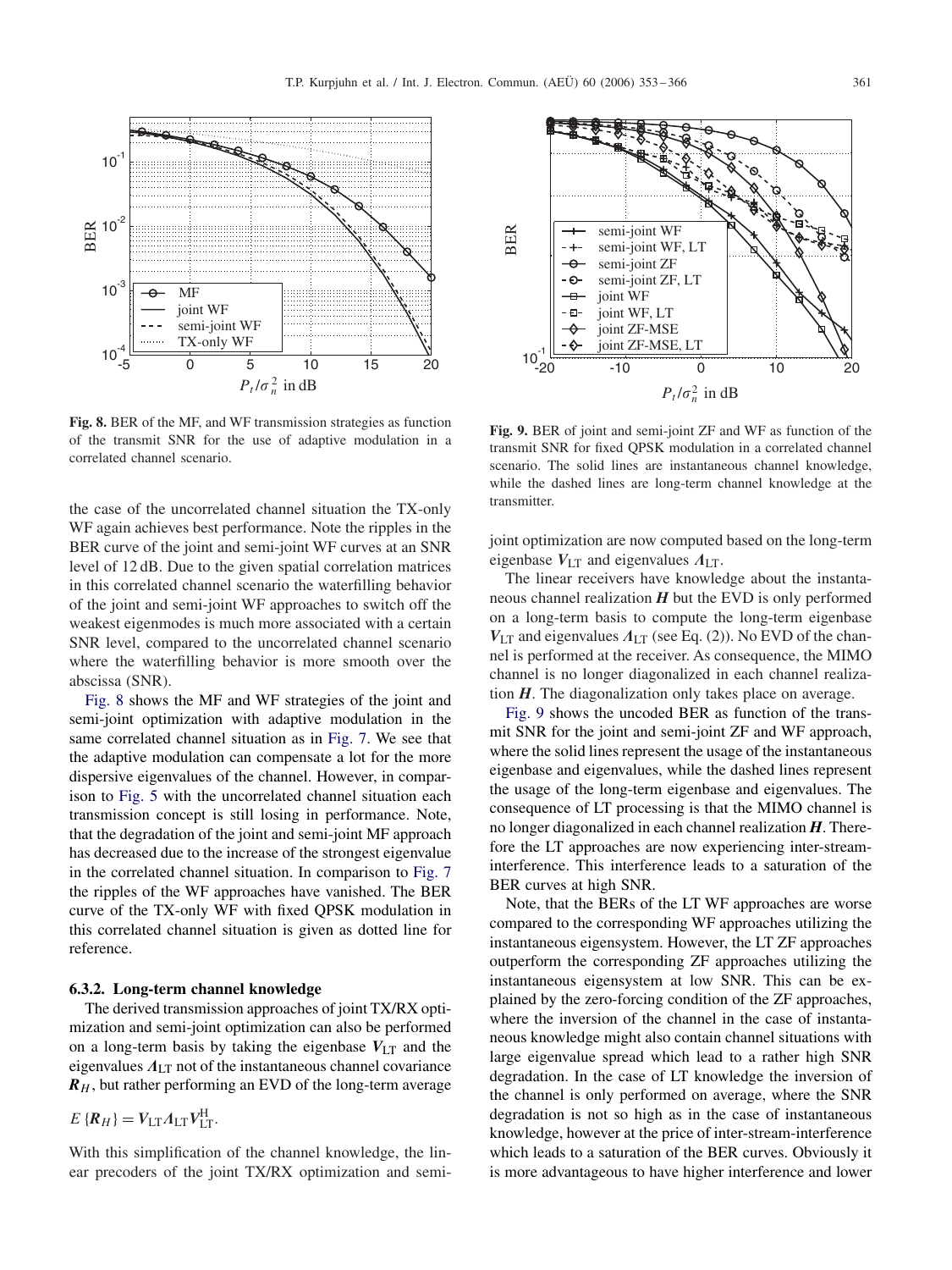<span id="page-8-0"></span>

**Fig. 8.** BER of the MF, and WF transmission strategies as function of the transmit SNR for the use of adaptive modulation in a correlated channel scenario.

the case of the uncorrelated channel situation the TX-only WF again achieves best performance. Note the ripples in the BER curve of the joint and semi-joint WF curves at an SNR level of 12 dB. Due to the given spatial correlation matrices in this correlated channel scenario the waterfilling behavior of the joint and semi-joint WF approaches to switch off the weakest eigenmodes is much more associated with a certain SNR level, compared to the uncorrelated channel scenario where the waterfilling behavior is more smooth over the abscissa (SNR).

Fig. 8 shows the MF and WF strategies of the joint and semi-joint optimization with adaptive modulation in the same correlated channel situation as in [Fig. 7.](#page-7-0) We see that the adaptive modulation can compensate a lot for the more dispersive eigenvalues of the channel. However, in comparison to [Fig. 5](#page-6-0) with the uncorrelated channel situation each transmission concept is still losing in performance. Note, that the degradation of the joint and semi-joint MF approach has decreased due to the increase of the strongest eigenvalue in the correlated channel situation. In comparison to [Fig. 7](#page-7-0) the ripples of the WF approaches have vanished. The BER curve of the TX-only WF with fixed QPSK modulation in this correlated channel situation is given as dotted line for reference.

#### **6.3.2. Long-term channel knowledge**

The derived transmission approaches of joint TX/RX optimization and semi-joint optimization can also be performed on a long-term basis by taking the eigenbase  $V_{LT}$  and the eigenvalues  $A_{LT}$  not of the instantaneous channel covariance  $R<sub>H</sub>$ , but rather performing an EVD of the long-term average

$$
E\left\{R_H\right\} = V_{\text{LT}} A_{\text{LT}} V_{\text{LT}}^{\text{H}}.
$$

With this simplification of the channel knowledge, the linear precoders of the joint TX/RX optimization and semi-



**Fig. 9.** BER of joint and semi-joint ZF and WF as function of the transmit SNR for fixed QPSK modulation in a correlated channel scenario. The solid lines are instantaneous channel knowledge, while the dashed lines are long-term channel knowledge at the transmitter.

joint optimization are now computed based on the long-term eigenbase  $V_{LT}$  and eigenvalues  $A_{LT}$ .

The linear receivers have knowledge about the instantaneous channel realization  $H$  but the EVD is only performed on a long-term basis to compute the long-term eigenbase  $V_{LT}$  and eigenvalues  $A_{LT}$  (see Eq. (2)). No EVD of the channel is performed at the receiver. As consequence, the MIMO channel is no longer diagonalized in each channel realization *H*. The diagonalization only takes place on average.

Fig. 9 shows the uncoded BER as function of the transmit SNR for the joint and semi-joint ZF and WF approach, where the solid lines represent the usage of the instantaneous eigenbase and eigenvalues, while the dashed lines represent the usage of the long-term eigenbase and eigenvalues. The consequence of LT processing is that the MIMO channel is no longer diagonalized in each channel realization *H*. Therefore the LT approaches are now experiencing inter-streaminterference. This interference leads to a saturation of the BER curves at high SNR.

Note, that the BERs of the LT WF approaches are worse compared to the corresponding WF approaches utilizing the instantaneous eigensystem. However, the LT ZF approaches outperform the corresponding ZF approaches utilizing the instantaneous eigensystem at low SNR. This can be explained by the zero-forcing condition of the ZF approaches, where the inversion of the channel in the case of instantaneous knowledge might also contain channel situations with large eigenvalue spread which lead to a rather high SNR degradation. In the case of LT knowledge the inversion of the channel is only performed on average, where the SNR degradation is not so high as in the case of instantaneous knowledge, however at the price of inter-stream-interference which leads to a saturation of the BER curves. Obviously it is more advantageous to have higher interference and lower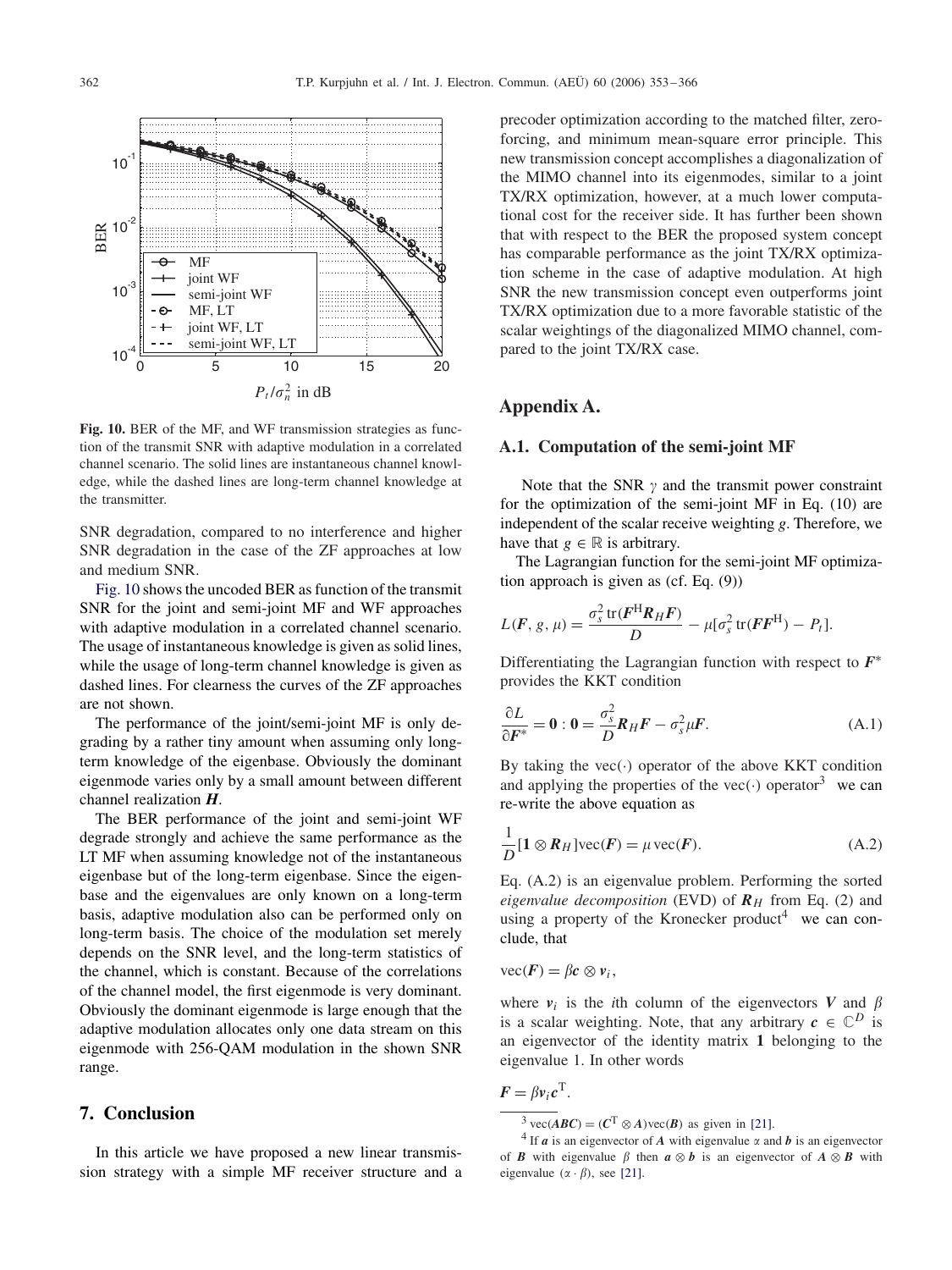

**Fig. 10.** BER of the MF, and WF transmission strategies as function of the transmit SNR with adaptive modulation in a correlated channel scenario. The solid lines are instantaneous channel knowledge, while the dashed lines are long-term channel knowledge at the transmitter.

SNR degradation, compared to no interference and higher SNR degradation in the case of the ZF approaches at low and medium SNR.

Fig. 10 shows the uncoded BER as function of the transmit SNR for the joint and semi-joint MF and WF approaches with adaptive modulation in a correlated channel scenario. The usage of instantaneous knowledge is given as solid lines, while the usage of long-term channel knowledge is given as dashed lines. For clearness the curves of the ZF approaches are not shown.

The performance of the joint/semi-joint MF is only degrading by a rather tiny amount when assuming only longterm knowledge of the eigenbase. Obviously the dominant eigenmode varies only by a small amount between different channel realization *H*.

The BER performance of the joint and semi-joint WF degrade strongly and achieve the same performance as the LT MF when assuming knowledge not of the instantaneous eigenbase but of the long-term eigenbase. Since the eigenbase and the eigenvalues are only known on a long-term basis, adaptive modulation also can be performed only on long-term basis. The choice of the modulation set merely depends on the SNR level, and the long-term statistics of the channel, which is constant. Because of the correlations of the channel model, the first eigenmode is very dominant. Obviously the dominant eigenmode is large enough that the adaptive modulation allocates only one data stream on this eigenmode with 256-QAM modulation in the shown SNR range.

## **7. Conclusion**

In this article we have proposed a new linear transmission strategy with a simple MF receiver structure and a

precoder optimization according to the matched filter, zeroforcing, and minimum mean-square error principle. This new transmission concept accomplishes a diagonalization of the MIMO channel into its eigenmodes, similar to a joint TX/RX optimization, however, at a much lower computational cost for the receiver side. It has further been shown that with respect to the BER the proposed system concept has comparable performance as the joint TX/RX optimization scheme in the case of adaptive modulation. At high SNR the new transmission concept even outperforms joint TX/RX optimization due to a more favorable statistic of the scalar weightings of the diagonalized MIMO channel, compared to the joint TX/RX case.

# **Appendix A.**

#### **A.1. Computation of the semi-joint MF**

Note that the SNR  $\gamma$  and the transmit power constraint for the optimization of the semi-joint MF in Eq. (10) are independent of the scalar receive weighting *g*. Therefore, we have that  $g \in \mathbb{R}$  is arbitrary.

The Lagrangian function for the semi-joint MF optimization approach is given as (cf. Eq. (9))

$$
L(F, g, \mu) = \frac{\sigma_s^2 \operatorname{tr}(F^{\mathrm{H}} R_H F)}{D} - \mu [\sigma_s^2 \operatorname{tr}(F F^{\mathrm{H}}) - P_t].
$$

Differentiating the Lagrangian function with respect to *F*<sup>∗</sup> provides the KKT condition

$$
\frac{\partial L}{\partial F^*} = \mathbf{0} : \mathbf{0} = \frac{\sigma_s^2}{D} R_H F - \sigma_s^2 \mu F. \tag{A.1}
$$

By taking the vec $(\cdot)$  operator of the above KKT condition and applying the properties of the vec( $\cdot$ ) operator<sup>3</sup> we can re-write the above equation as

$$
\frac{1}{D}[\mathbf{1} \otimes \mathbf{R}_H] \text{vec}(\mathbf{F}) = \mu \text{vec}(\mathbf{F}).
$$
\n(A.2)

Eq. (A.2) is an eigenvalue problem. Performing the sorted *eigenvalue decomposition* (EVD) of  $R<sub>H</sub>$  from Eq. (2) and using a property of the Kronecker product<sup>4</sup> we can conclude, that

 $vec(F) = \beta c \otimes v_i$ ,

where  $v_i$  is the *i*th column of the eigenvectors V and  $\beta$ is a scalar weighting. Note, that any arbitrary  $c \in \mathbb{C}^D$  is an eigenvector of the identity matrix **1** belonging to the eigenvalue 1. In other words

$$
F = \beta v_i c^{\mathrm{T}}.
$$

<sup>&</sup>lt;sup>3</sup> vec(*ABC*) = ( $C^T \otimes A$ )vec(*B*) as given in [\[21\].](#page-12-0)<br><sup>4</sup> If *a* is an eigenvector of *A* with eigenvalue  $\alpha$  and *b* is an eigenvector of *B* with eigenvalue  $\beta$  then  $a \otimes b$  is an eigenvector of  $A \otimes B$  with eigenvalue  $(\alpha \cdot \beta)$ , see [\[21\].](#page-12-0)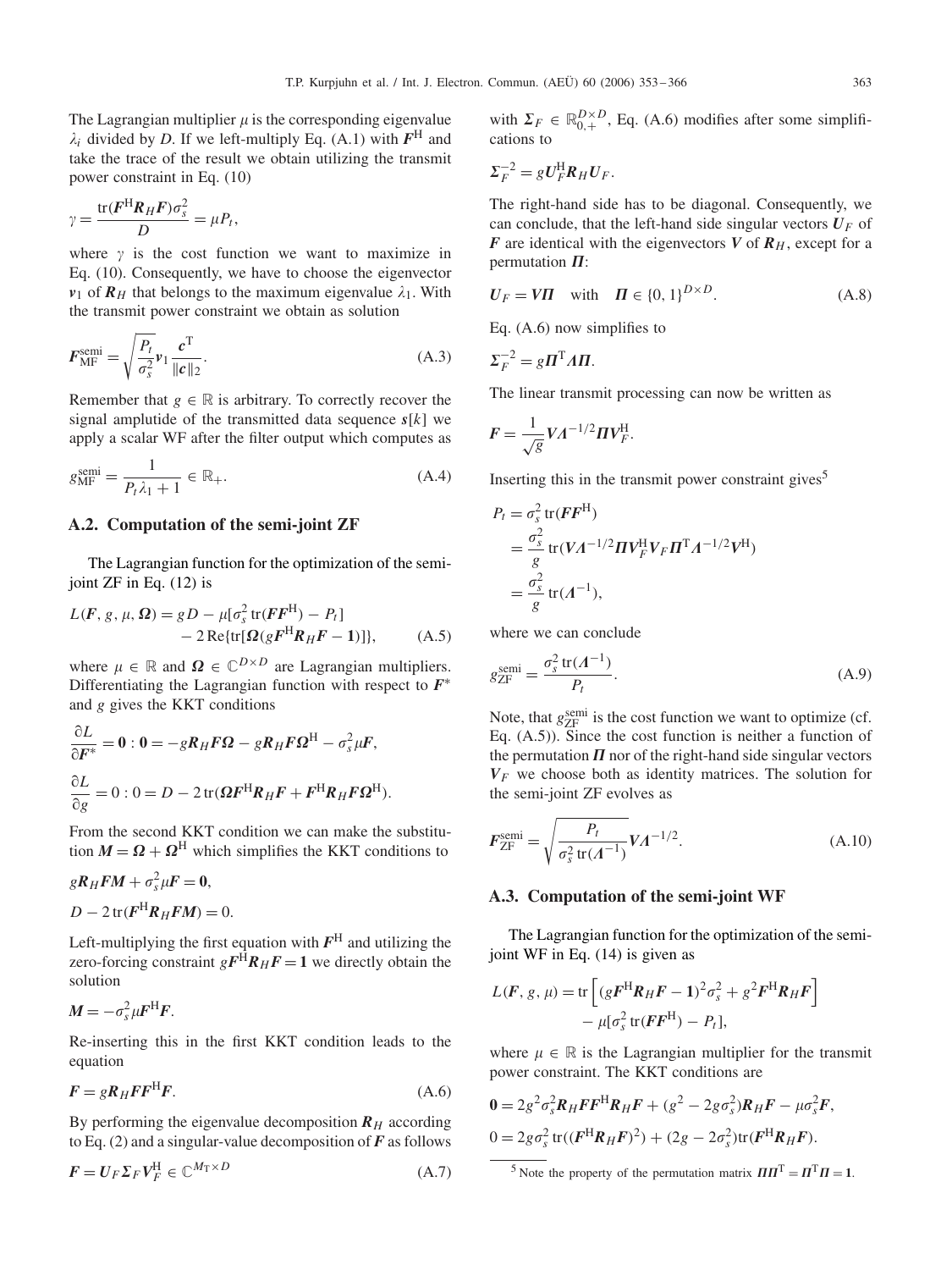The Lagrangian multiplier  $\mu$  is the corresponding eigenvalue  $\lambda_i$  divided by *D*. If we left-multiply Eq. (A.1) with  $\mathbf{F}^H$  and the transmit take the trace of the result we obtain utilizing the transmit power constraint in Eq. (10)

$$
\gamma = \frac{\text{tr}(F^{\text{H}}R_{H}F)\sigma_{s}^{2}}{D} = \mu P_{t}
$$

 $\gamma = \frac{\mu_1}{D} \frac{P_t}{D} = \mu P_t$ ,<br>where  $\gamma$  is the cost function we want to maximize in Eq. (10). Consequently, we have to choose the eigenvector  $v_1$  of  $\mathbf{R}_H$  that belongs to the maximum eigenvalue  $\lambda_1$ . With the transmit neuron constraint we obtain as solution the transmit power constraint we obtain as solution

$$
F_{\rm MF}^{\rm semi} = \sqrt{\frac{P_t}{\sigma_s^2}} \mathbf{v}_1 \frac{\mathbf{c}^{\rm T}}{\|\mathbf{c}\|_2}.
$$
 (A.3)

Remember that  $g \in \mathbb{R}$  is arbitrary. To correctly recover the signal amplutide of the transmitted data sequence *<sup>s</sup>*[k] we apply a scalar WF after the filter output which computes as

$$
g_{\rm MF}^{\rm semi} = \frac{1}{P_t \lambda_1 + 1} \in \mathbb{R}_+.
$$
\n(A.4)

#### **A.2. Computation of the semi-joint ZF**

The Lagrangian function for the optimization of the semijoint ZF in Eq. (12) is

$$
L(F, g, \mu, \Omega) = gD - \mu[\sigma_s^2 \operatorname{tr}(FF^H) - P_t]
$$
  
- 2 Re{tr[ $\Omega(gF^H R_H F - 1)$ ]}  
 (A.5)

where  $\mu \in \mathbb{R}$  and  $\Omega \in \mathbb{C}^{D \times D}$  are Lagrangian multipliers. Differentiating the Lagrangian function with respect to *F*<sup>∗</sup> and *g* gives the KKT conditions

$$
\frac{\partial L}{\partial F^*} = 0: 0 = -gR_H F \Omega - gR_H F \Omega^H - \sigma_s^2 \mu F,
$$
  

$$
\frac{\partial L}{\partial g} = 0: 0 = D - 2 \text{tr}(\Omega F^H R_H F + F^H R_H F \Omega^H).
$$

From the second KKT condition we can make the substitution  $M = \Omega + \Omega^{\text{H}}$  which simplifies the KKT conditions to

$$
gR_HFM + \sigma_s^2 \mu F = 0,
$$
  

$$
D - 2 \operatorname{tr}(F^H R_H FM) = 0.
$$

Left-multiplying the first equation with  $F<sup>H</sup>$  and utilizing the zero-forcing constraint  $gF^{\hat{H}}R_HF = 1$  we directly obtain the solution

$$
M=-\sigma_s^2\mu F^{\rm H}F.
$$

 $\sim$ 

Re-inserting this in the first KKT condition leads to the equation

$$
F = gR_H FF^H F. \tag{A.6}
$$

By performing the eigenvalue decomposition  $R_H$  according to Eq.  $(2)$  and a singular-value decomposition of  $\vec{F}$  as follows

$$
F = U_F \Sigma_F V_F^{\rm H} \in \mathbb{C}^{M_{\rm T} \times D} \tag{A.7}
$$

with  $\Sigma_F \in \mathbb{R}_{0,+}^{D \times D}$ , Eq. (A.6) modifies after some simplifications to cations to

$$
\Sigma_F^{-2} = g U_F^{\rm H} R_H U_F.
$$

The right-hand side has to be diagonal. Consequently, we can conclude, that the left-hand side singular vectors  $U_F$  of *F* are identical with the eigenvectors *V* of  $R<sub>H</sub>$ , except for a permutation  $\Pi$ :

$$
U_F = V\Pi \quad \text{with} \quad \Pi \in \{0, 1\}^{D \times D}.
$$
 (A.8)

Eq. (A.6) now simplifies to

$$
\Sigma_F^{-2} = g \Pi^{\mathrm{T}} A \Pi.
$$

The linear transmit processing can now be written as

$$
F = \frac{1}{\sqrt{g}} V A^{-1/2} \Pi V_F^{\rm H}.
$$

Inserting this in the transmit power constraint gives<sup>5</sup>

$$
P_t = \sigma_s^2 \operatorname{tr}(FF^H)
$$
  
=  $\frac{\sigma_s^2}{g} \operatorname{tr}(VA^{-1/2}HV_F^HV_F\Pi^TA^{-1/2}V^H)$   
=  $\frac{\sigma_s^2}{g} \operatorname{tr}(A^{-1}),$ 

where we can conclude

$$
g_{\rm ZF}^{\rm semi} = \frac{\sigma_s^2 \operatorname{tr}(A^{-1})}{P_t}.
$$
\n(A.9)

Note, that  $g_{\text{ZF}}^{\text{semi}}$  is the cost function we want to optimize (cf.<br>Eq. (A.5)). Since the cost function is neither a function of Eq. (A.5)). Since the cost function is neither a function of the permutation  $\Pi$  nor of the right-hand side singular vectors  $V_F$  we choose both as identity matrices. The solution for the semi-joint ZF evolves as

$$
F_{\rm ZF}^{\rm semi} = \sqrt{\frac{P_t}{\sigma_s^2 \, \text{tr}(A^{-1})}} V A^{-1/2}.
$$
 (A.10)

#### **A.3. Computation of the semi-joint WF**

The Lagrangian function for the optimization of the semijoint WF in Eq. (14) is given as

$$
L(F, g, \mu) = \text{tr}\left[ (gF^{\text{H}}R_{H}F - 1)^{2}\sigma_{s}^{2} + g^{2}F^{\text{H}}R_{H}F \right] - \mu[\sigma_{s}^{2}\text{tr}(FF^{\text{H}}) - P_{t}],
$$

where  $\mu \in \mathbb{R}$  is the Lagrangian multiplier for the transmit power constraint. The KKT conditions are

$$
0 = 2g^2 \sigma_s^2 R_H F F^H R_H F + (g^2 - 2g \sigma_s^2) R_H F - \mu \sigma_s^2 F,
$$
  

$$
0 = 2g \sigma_s^2 \text{tr}((F^H R_H F)^2) + (2g - 2\sigma_s^2) \text{tr}(F^H R_H F).
$$

<sup>5</sup> Note the property of the permutation matrix  $\Pi \Pi^T = \Pi^T \Pi = 1$ .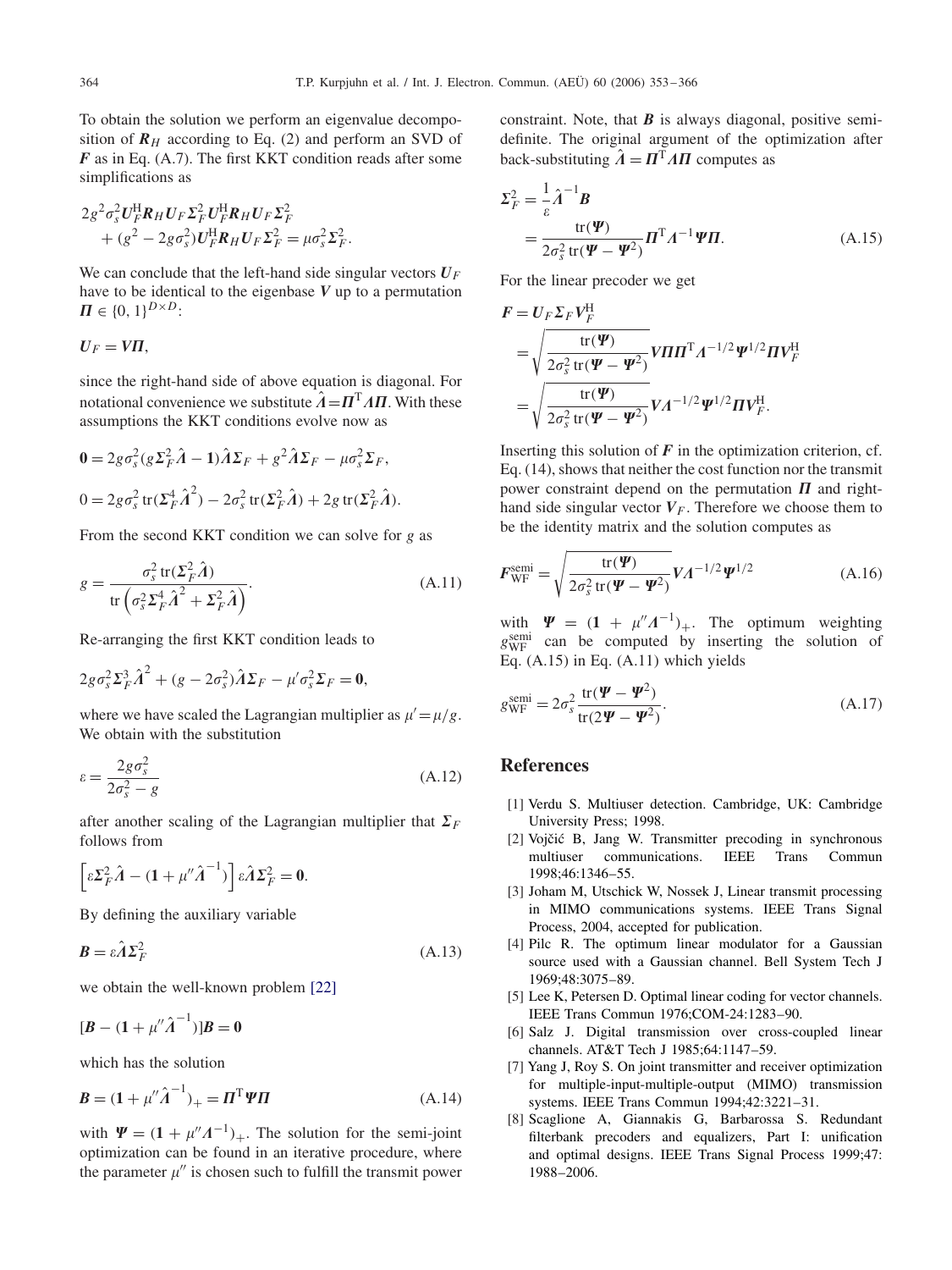<span id="page-11-0"></span>To obtain the solution we perform an eigenvalue decomposition of  $R_H$  according to Eq. (2) and perform an SVD of *F* as in Eq. (A.7). The first KKT condition reads after some simplifications as

$$
2g^2\sigma_s^2 U_F^{\text{H}} \mathbf{R}_H U_F \Sigma_F^2 U_F^{\text{H}} \mathbf{R}_H U_F \Sigma_F^2 + (g^2 - 2g\sigma_s^2) U_F^{\text{H}} \mathbf{R}_H U_F \Sigma_F^2 = \mu \sigma_s^2 \Sigma_F^2.
$$

We can conclude that the left-hand side singular vectors  $U_F$ have to be identical to the eigenbase *V* up to a permutation  $\Pi \in \{0, 1\}^{D \times D}$ :

$$
U_F=V\Pi,
$$

since the right-hand side of above equation is diagonal. For notational convenience we substitute  $\hat{A} = \Pi^{T} A \Pi$ . With these assumptions the KKT conditions evolve now as

$$
0 = 2g\sigma_s^2(g\Sigma_F^2 \hat{A} - 1)\hat{A}\Sigma_F + g^2\hat{A}\Sigma_F - \mu\sigma_s^2\Sigma_F,
$$
  

$$
0 = 2g\sigma_s^2 \operatorname{tr}(\Sigma_F^4 \hat{A}^2) - 2\sigma_s^2 \operatorname{tr}(\Sigma_F^2 \hat{A}) + 2g \operatorname{tr}(\Sigma_F^2 \hat{A}).
$$

From the second KKT condition we can solve for *g* as

$$
g = \frac{\sigma_s^2 \operatorname{tr}(\Sigma_F^2 \hat{A})}{\operatorname{tr} \left(\sigma_s^2 \Sigma_F^4 \hat{A}^2 + \Sigma_F^2 \hat{A}\right)}.
$$
 (A.11)

Re-arranging the first KKT condition leads to

$$
2g\sigma_s^2\Sigma_F^3\hat{A}^2 + (g - 2\sigma_s^2)\hat{A}\Sigma_F - \mu'\sigma_s^2\Sigma_F = 0,
$$

where we have scaled the Lagrangian multiplier as  $\mu' = \mu/g$ .<br>We obtain with the substitution We obtain with the substitution

$$
\varepsilon = \frac{2g\sigma_s^2}{2\sigma_s^2 - g} \tag{A.12}
$$

after another scaling of the Lagrangian multiplier that  $\Sigma_F$ follows from

$$
\[ \varepsilon \Sigma_F^2 \hat{A} - (1 + \mu'' \hat{A}^{-1}) \] \varepsilon \hat{A} \Sigma_F^2 = 0.
$$

By defining the auxiliary variable

$$
\mathbf{B} = \varepsilon \hat{A} \Sigma_F^2 \tag{A.13}
$$

we obtain the well-known problem [\[22\]](#page-12-0)

$$
[\bm{B} - (1 + \mu''\hat{\bm{\Lambda}}^{-1})]\bm{B} = \bm{0}
$$

which has the solution

$$
B = (1 + \mu'' \hat{A}^{-1})_{+} = \Pi^{T} \Psi \Pi
$$
 (A.14)

with  $\Psi = (1 + \mu'' A^{-1})_+$ . The solution for the semi-joint<br>continuization can be found in an iterative procedure, where optimization can be found in an iterative procedure, where the parameter  $\mu''$  is chosen such to fulfill the transmit power

constraint. Note, that  $\bf{B}$  is always diagonal, positive semidefinite. The original argument of the optimization after back-substituting  $\hat{\lambda} = \Pi^{T} A \Pi$  computes as

$$
\Sigma_F^2 = \frac{1}{\varepsilon} \hat{\Lambda}^{-1} \mathbf{B}
$$
  
= 
$$
\frac{\text{tr}(\mathbf{\Psi})}{2\sigma_s^2 \text{tr}(\mathbf{\Psi} - \mathbf{\Psi}^2)} \mathbf{\Pi}^T \Lambda^{-1} \mathbf{\Psi} \mathbf{\Pi}.
$$
 (A.15)

For the linear precoder we get

$$
F = U_F \Sigma_F V_F^{\rm H}
$$
  
=  $\sqrt{\frac{\text{tr}(\boldsymbol{\Psi})}{2\sigma_s^2 \text{tr}(\boldsymbol{\Psi} - \boldsymbol{\Psi}^2)}} V \boldsymbol{\Pi} \boldsymbol{\Pi}^{\rm T} \boldsymbol{\Lambda}^{-1/2} \boldsymbol{\Psi}^{1/2} \boldsymbol{\Pi} V_F^{\rm H}$   
=  $\sqrt{\frac{\text{tr}(\boldsymbol{\Psi})}{2\sigma_s^2 \text{tr}(\boldsymbol{\Psi} - \boldsymbol{\Psi}^2)}} V \boldsymbol{\Lambda}^{-1/2} \boldsymbol{\Psi}^{1/2} \boldsymbol{\Pi} V_F^{\rm H}.$ 

Inserting this solution of  $F$  in the optimization criterion, cf. Eq. (14), shows that neither the cost function nor the transmit power constraint depend on the permutation  $\Pi$  and righthand side singular vector  $V_F$ . Therefore we choose them to be the identity matrix and the solution computes as

$$
\boldsymbol{F}_{\text{WF}}^{\text{semi}} = \sqrt{\frac{\text{tr}(\boldsymbol{\varPsi})}{2\sigma_s^2 \text{tr}(\boldsymbol{\varPsi} - \boldsymbol{\varPsi}^2)}} \boldsymbol{V} A^{-1/2} \boldsymbol{\varPsi}^{1/2}
$$
(A.16)

with  $\Psi = (1 + \mu'' A^{-1})_+$ . The optimum weighting<br>  $\sigma^{\text{semi}}$  can be computed by inserting the solution of  $g_{\text{WF}}^{\text{semi}}$  can be computed by inserting the solution of  $F_G(A, 15)$  in Eq. (A.11) which vields Eq.  $(A.15)$  in Eq.  $(A.11)$  which yields

$$
g_{\rm WF}^{\rm semi} = 2\sigma_s^2 \frac{\text{tr}(\Psi - \Psi^2)}{\text{tr}(2\Psi - \Psi^2)}.
$$
\n(A.17)

# **References**

- [1] Verdu S. Multiuser detection. Cambridge, UK: Cambridge University Press; 1998.
- [2] Vojčić B, Jang W. Transmitter precoding in synchronous multiuser communications. IEEE Trans Commun 1998;46:1346–55.
- [3] Joham M, Utschick W, Nossek J, Linear transmit processing in MIMO communications systems. IEEE Trans Signal Process, 2004, accepted for publication.
- [4] Pilc R. The optimum linear modulator for a Gaussian source used with a Gaussian channel. Bell System Tech J 1969;48:3075–89.
- [5] Lee K, Petersen D. Optimal linear coding for vector channels. IEEE Trans Commun 1976;COM-24:1283–90.
- [6] Salz J. Digital transmission over cross-coupled linear channels. AT&T Tech J 1985;64:1147–59.
- [7] Yang J, Roy S. On joint transmitter and receiver optimization for multiple-input-multiple-output (MIMO) transmission systems. IEEE Trans Commun 1994;42:3221–31.
- [8] Scaglione A, Giannakis G, Barbarossa S. Redundant filterbank precoders and equalizers, Part I: unification and optimal designs. IEEE Trans Signal Process 1999;47: 1988–2006.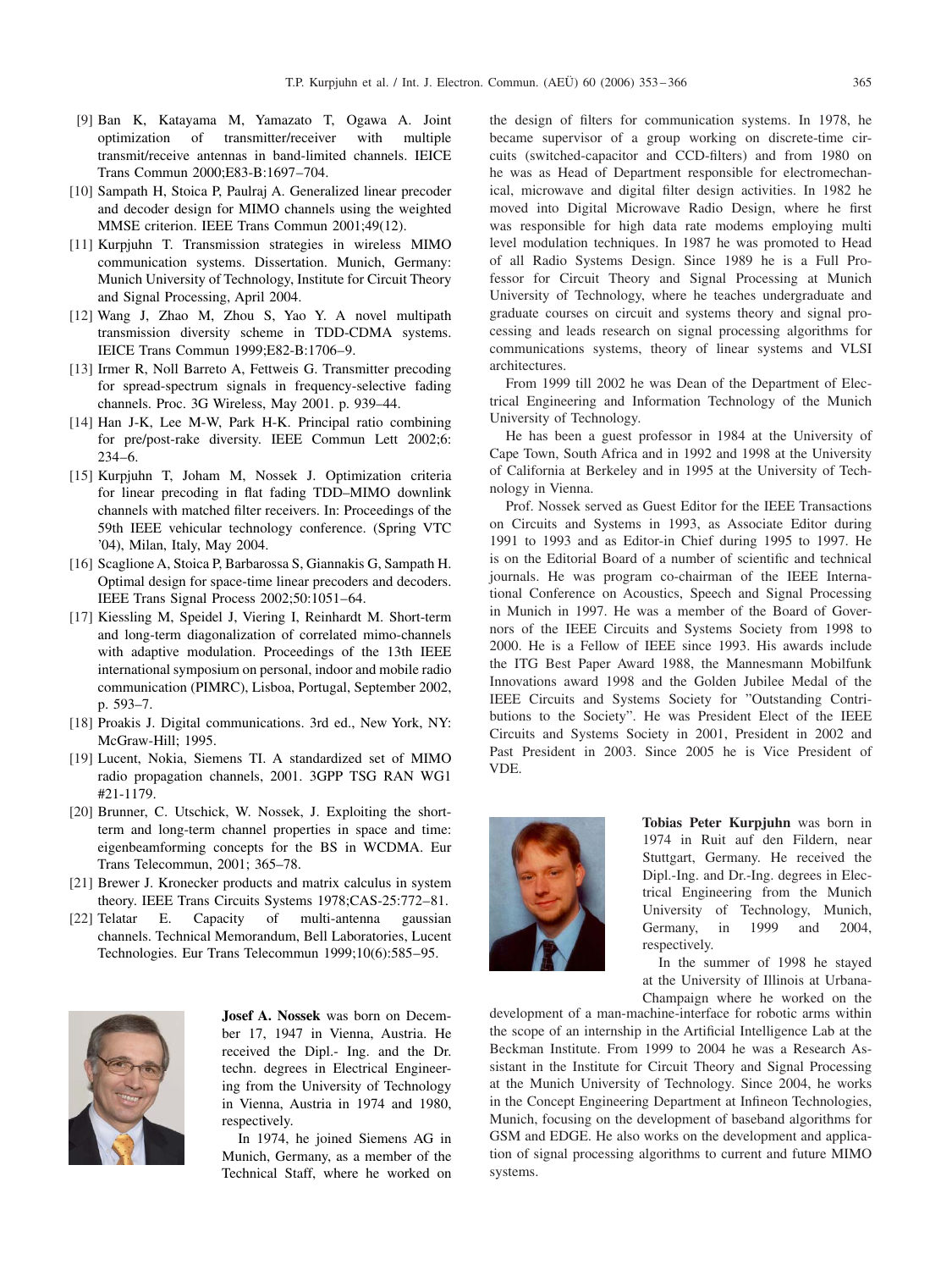- <span id="page-12-0"></span>[9] Ban K, Katayama M, Yamazato T, Ogawa A. Joint optimization of transmitter/receiver with multiple transmit/receive antennas in band-limited channels. IEICE Trans Commun 2000;E83-B:1697–704.
- [10] Sampath H, Stoica P, Paulraj A. Generalized linear precoder and decoder design for MIMO channels using the weighted MMSE criterion. IEEE Trans Commun 2001;49(12).
- [11] Kurpjuhn T. Transmission strategies in wireless MIMO communication systems. Dissertation. Munich, Germany: Munich University of Technology, Institute for Circuit Theory and Signal Processing, April 2004.
- [12] Wang J, Zhao M, Zhou S, Yao Y. A novel multipath transmission diversity scheme in TDD-CDMA systems. IEICE Trans Commun 1999;E82-B:1706–9.
- [13] Irmer R, Noll Barreto A, Fettweis G. Transmitter precoding for spread-spectrum signals in frequency-selective fading channels. Proc. 3G Wireless, May 2001. p. 939–44.
- [14] Han J-K, Lee M-W, Park H-K. Principal ratio combining for pre/post-rake diversity. IEEE Commun Lett 2002;6: 234–6.
- [15] Kurpjuhn T, Joham M, Nossek J. Optimization criteria for linear precoding in flat fading TDD–MIMO downlink channels with matched filter receivers. In: Proceedings of the 59th IEEE vehicular technology conference. (Spring VTC '04), Milan, Italy, May 2004.
- [16] Scaglione A, Stoica P, Barbarossa S, Giannakis G, Sampath H. Optimal design for space-time linear precoders and decoders. IEEE Trans Signal Process 2002;50:1051–64.
- [17] Kiessling M, Speidel J, Viering I, Reinhardt M. Short-term and long-term diagonalization of correlated mimo-channels with adaptive modulation. Proceedings of the 13th IEEE international symposium on personal, indoor and mobile radio communication (PIMRC), Lisboa, Portugal, September 2002, p. 593–7.
- [18] Proakis J. Digital communications. 3rd ed., New York, NY: McGraw-Hill; 1995.
- [19] Lucent, Nokia, Siemens TI. A standardized set of MIMO radio propagation channels, 2001. 3GPP TSG RAN WG1 #21-1179.
- [20] Brunner, C. Utschick, W. Nossek, J. Exploiting the shortterm and long-term channel properties in space and time: eigenbeamforming concepts for the BS in WCDMA. Eur Trans Telecommun, 2001; 365–78.
- [21] Brewer J. Kronecker products and matrix calculus in system theory. IEEE Trans Circuits Systems 1978;CAS-25:772–81.
- [22] Telatar E. Capacity of multi-antenna gaussian channels. Technical Memorandum, Bell Laboratories, Lucent Technologies. Eur Trans Telecommun 1999;10(6):585–95.



**Josef A. Nossek** was born on December 17, 1947 in Vienna, Austria. He received the Dipl.- Ing. and the Dr. techn. degrees in Electrical Engineering from the University of Technology in Vienna, Austria in 1974 and 1980, respectively.

In 1974, he joined Siemens AG in Munich, Germany, as a member of the Technical Staff, where he worked on

the design of filters for communication systems. In 1978, he became supervisor of a group working on discrete-time circuits (switched-capacitor and CCD-filters) and from 1980 on he was as Head of Department responsible for electromechanical, microwave and digital filter design activities. In 1982 he moved into Digital Microwave Radio Design, where he first was responsible for high data rate modems employing multi level modulation techniques. In 1987 he was promoted to Head of all Radio Systems Design. Since 1989 he is a Full Professor for Circuit Theory and Signal Processing at Munich University of Technology, where he teaches undergraduate and graduate courses on circuit and systems theory and signal processing and leads research on signal processing algorithms for communications systems, theory of linear systems and VLSI architectures.

From 1999 till 2002 he was Dean of the Department of Electrical Engineering and Information Technology of the Munich University of Technology.

He has been a guest professor in 1984 at the University of Cape Town, South Africa and in 1992 and 1998 at the University of California at Berkeley and in 1995 at the University of Technology in Vienna.

Prof. Nossek served as Guest Editor for the IEEE Transactions on Circuits and Systems in 1993, as Associate Editor during 1991 to 1993 and as Editor-in Chief during 1995 to 1997. He is on the Editorial Board of a number of scientific and technical journals. He was program co-chairman of the IEEE International Conference on Acoustics, Speech and Signal Processing in Munich in 1997. He was a member of the Board of Governors of the IEEE Circuits and Systems Society from 1998 to 2000. He is a Fellow of IEEE since 1993. His awards include the ITG Best Paper Award 1988, the Mannesmann Mobilfunk Innovations award 1998 and the Golden Jubilee Medal of the IEEE Circuits and Systems Society for "Outstanding Contributions to the Society". He was President Elect of the IEEE Circuits and Systems Society in 2001, President in 2002 and Past President in 2003. Since 2005 he is Vice President of VDE.



**Tobias Peter Kurpjuhn** was born in 1974 in Ruit auf den Fildern, near Stuttgart, Germany. He received the Dipl.-Ing. and Dr.-Ing. degrees in Electrical Engineering from the Munich University of Technology, Munich, Germany, in 1999 and 2004, respectively.

In the summer of 1998 he stayed at the University of Illinois at Urbana-Champaign where he worked on the

development of a man-machine-interface for robotic arms within the scope of an internship in the Artificial Intelligence Lab at the Beckman Institute. From 1999 to 2004 he was a Research Assistant in the Institute for Circuit Theory and Signal Processing at the Munich University of Technology. Since 2004, he works in the Concept Engineering Department at Infineon Technologies, Munich, focusing on the development of baseband algorithms for GSM and EDGE. He also works on the development and application of signal processing algorithms to current and future MIMO systems.